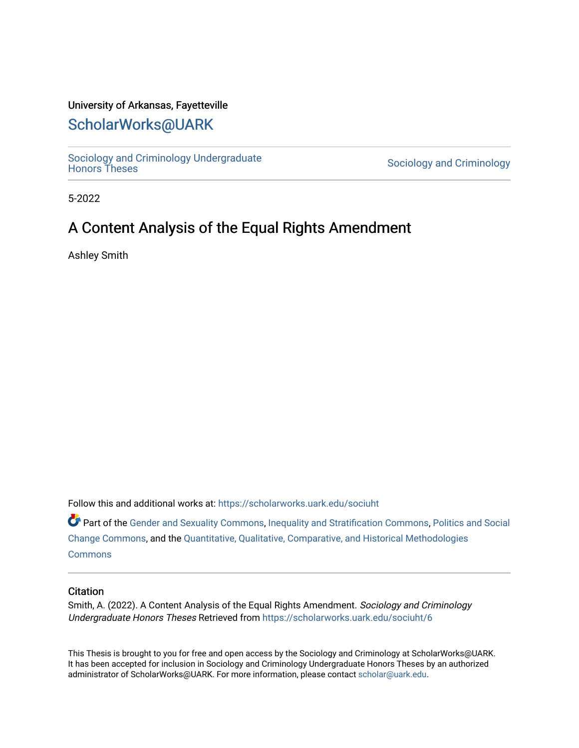# University of Arkansas, Fayetteville

# [ScholarWorks@UARK](https://scholarworks.uark.edu/)

Sociology and Criminology Undergraduate<br>Honors Theses

Sociology and Criminology

5-2022

# A Content Analysis of the Equal Rights Amendment

Ashley Smith

Follow this and additional works at: [https://scholarworks.uark.edu/sociuht](https://scholarworks.uark.edu/sociuht?utm_source=scholarworks.uark.edu%2Fsociuht%2F6&utm_medium=PDF&utm_campaign=PDFCoverPages) 

Part of the [Gender and Sexuality Commons](http://network.bepress.com/hgg/discipline/420?utm_source=scholarworks.uark.edu%2Fsociuht%2F6&utm_medium=PDF&utm_campaign=PDFCoverPages), [Inequality and Stratification Commons,](http://network.bepress.com/hgg/discipline/421?utm_source=scholarworks.uark.edu%2Fsociuht%2F6&utm_medium=PDF&utm_campaign=PDFCoverPages) [Politics and Social](http://network.bepress.com/hgg/discipline/425?utm_source=scholarworks.uark.edu%2Fsociuht%2F6&utm_medium=PDF&utm_campaign=PDFCoverPages)  [Change Commons](http://network.bepress.com/hgg/discipline/425?utm_source=scholarworks.uark.edu%2Fsociuht%2F6&utm_medium=PDF&utm_campaign=PDFCoverPages), and the [Quantitative, Qualitative, Comparative, and Historical Methodologies](http://network.bepress.com/hgg/discipline/423?utm_source=scholarworks.uark.edu%2Fsociuht%2F6&utm_medium=PDF&utm_campaign=PDFCoverPages) **[Commons](http://network.bepress.com/hgg/discipline/423?utm_source=scholarworks.uark.edu%2Fsociuht%2F6&utm_medium=PDF&utm_campaign=PDFCoverPages)** 

## **Citation**

Smith, A. (2022). A Content Analysis of the Equal Rights Amendment. Sociology and Criminology Undergraduate Honors Theses Retrieved from [https://scholarworks.uark.edu/sociuht/6](https://scholarworks.uark.edu/sociuht/6?utm_source=scholarworks.uark.edu%2Fsociuht%2F6&utm_medium=PDF&utm_campaign=PDFCoverPages) 

This Thesis is brought to you for free and open access by the Sociology and Criminology at ScholarWorks@UARK. It has been accepted for inclusion in Sociology and Criminology Undergraduate Honors Theses by an authorized administrator of ScholarWorks@UARK. For more information, please contact [scholar@uark.edu](mailto:scholar@uark.edu).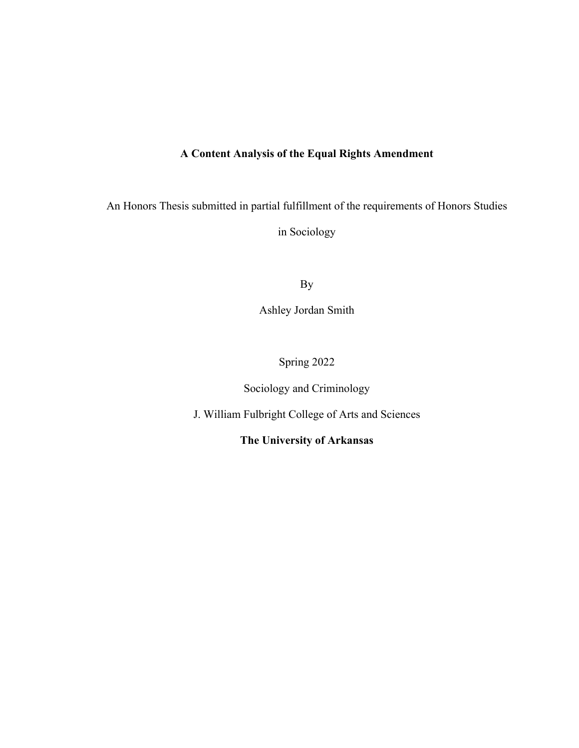# **A Content Analysis of the Equal Rights Amendment**

An Honors Thesis submitted in partial fulfillment of the requirements of Honors Studies in Sociology

By

Ashley Jordan Smith

Spring 2022

Sociology and Criminology

J. William Fulbright College of Arts and Sciences

**The University of Arkansas**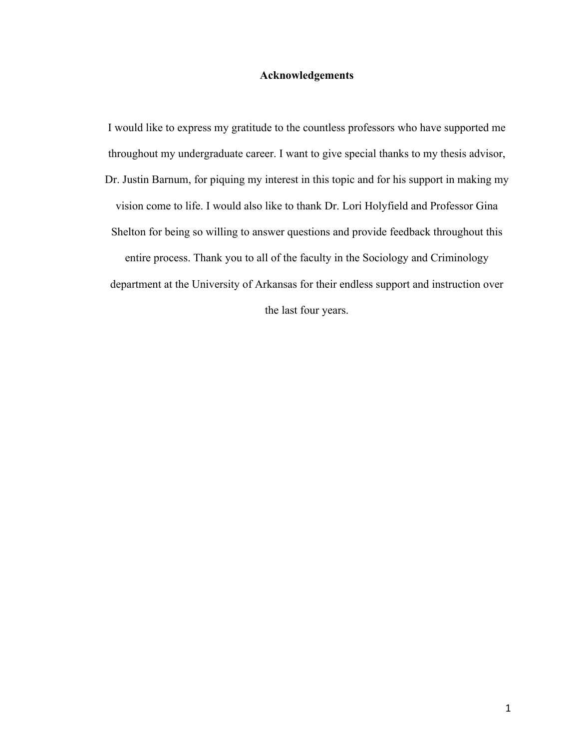# **Acknowledgements**

I would like to express my gratitude to the countless professors who have supported me throughout my undergraduate career. I want to give special thanks to my thesis advisor, Dr. Justin Barnum, for piquing my interest in this topic and for his support in making my vision come to life. I would also like to thank Dr. Lori Holyfield and Professor Gina Shelton for being so willing to answer questions and provide feedback throughout this entire process. Thank you to all of the faculty in the Sociology and Criminology department at the University of Arkansas for their endless support and instruction over the last four years.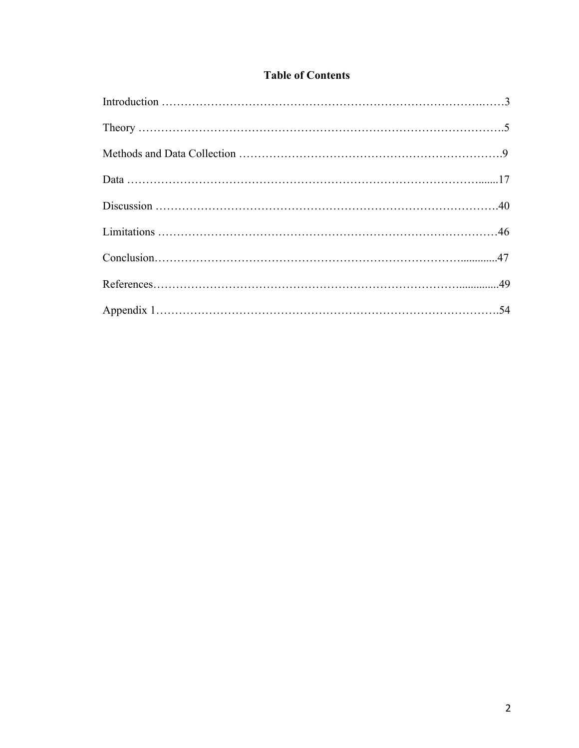# **Table of Contents**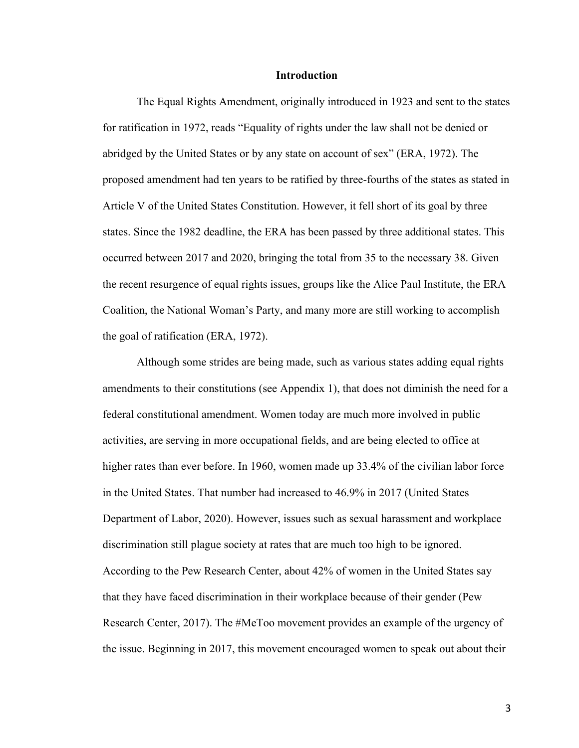#### **Introduction**

The Equal Rights Amendment, originally introduced in 1923 and sent to the states for ratification in 1972, reads "Equality of rights under the law shall not be denied or abridged by the United States or by any state on account of sex" (ERA, 1972). The proposed amendment had ten years to be ratified by three-fourths of the states as stated in Article V of the United States Constitution. However, it fell short of its goal by three states. Since the 1982 deadline, the ERA has been passed by three additional states. This occurred between 2017 and 2020, bringing the total from 35 to the necessary 38. Given the recent resurgence of equal rights issues, groups like the Alice Paul Institute, the ERA Coalition, the National Woman's Party, and many more are still working to accomplish the goal of ratification (ERA, 1972).

Although some strides are being made, such as various states adding equal rights amendments to their constitutions (see Appendix 1), that does not diminish the need for a federal constitutional amendment. Women today are much more involved in public activities, are serving in more occupational fields, and are being elected to office at higher rates than ever before. In 1960, women made up 33.4% of the civilian labor force in the United States. That number had increased to 46.9% in 2017 (United States Department of Labor, 2020). However, issues such as sexual harassment and workplace discrimination still plague society at rates that are much too high to be ignored. According to the Pew Research Center, about 42% of women in the United States say that they have faced discrimination in their workplace because of their gender (Pew Research Center, 2017). The #MeToo movement provides an example of the urgency of the issue. Beginning in 2017, this movement encouraged women to speak out about their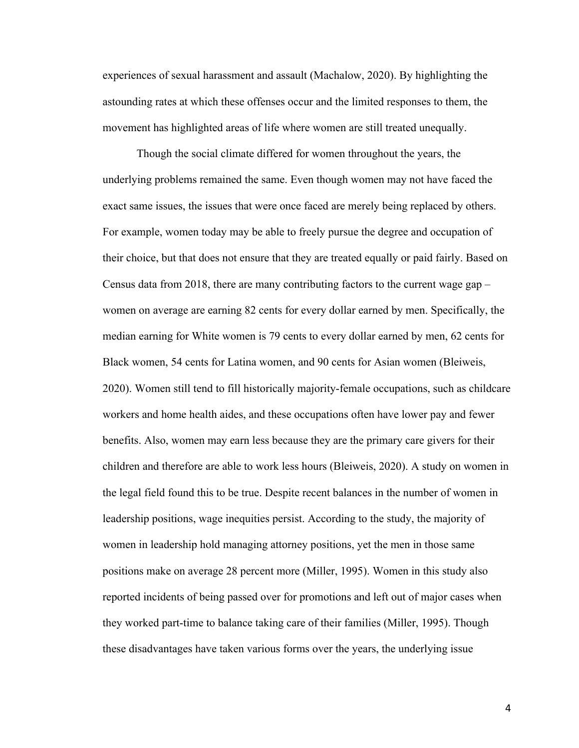experiences of sexual harassment and assault (Machalow, 2020). By highlighting the astounding rates at which these offenses occur and the limited responses to them, the movement has highlighted areas of life where women are still treated unequally.

Though the social climate differed for women throughout the years, the underlying problems remained the same. Even though women may not have faced the exact same issues, the issues that were once faced are merely being replaced by others. For example, women today may be able to freely pursue the degree and occupation of their choice, but that does not ensure that they are treated equally or paid fairly. Based on Census data from 2018, there are many contributing factors to the current wage gap – women on average are earning 82 cents for every dollar earned by men. Specifically, the median earning for White women is 79 cents to every dollar earned by men, 62 cents for Black women, 54 cents for Latina women, and 90 cents for Asian women (Bleiweis, 2020). Women still tend to fill historically majority-female occupations, such as childcare workers and home health aides, and these occupations often have lower pay and fewer benefits. Also, women may earn less because they are the primary care givers for their children and therefore are able to work less hours (Bleiweis, 2020). A study on women in the legal field found this to be true. Despite recent balances in the number of women in leadership positions, wage inequities persist. According to the study, the majority of women in leadership hold managing attorney positions, yet the men in those same positions make on average 28 percent more (Miller, 1995). Women in this study also reported incidents of being passed over for promotions and left out of major cases when they worked part-time to balance taking care of their families (Miller, 1995). Though these disadvantages have taken various forms over the years, the underlying issue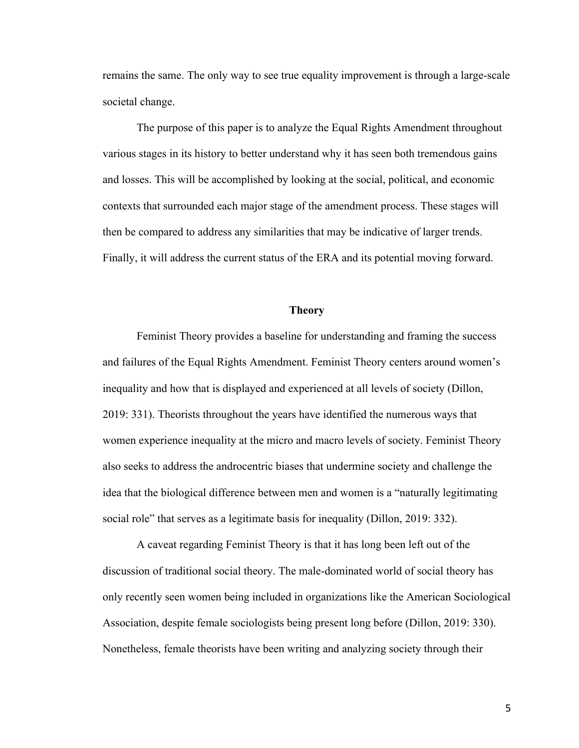remains the same. The only way to see true equality improvement is through a large-scale societal change.

The purpose of this paper is to analyze the Equal Rights Amendment throughout various stages in its history to better understand why it has seen both tremendous gains and losses. This will be accomplished by looking at the social, political, and economic contexts that surrounded each major stage of the amendment process. These stages will then be compared to address any similarities that may be indicative of larger trends. Finally, it will address the current status of the ERA and its potential moving forward.

## **Theory**

Feminist Theory provides a baseline for understanding and framing the success and failures of the Equal Rights Amendment. Feminist Theory centers around women's inequality and how that is displayed and experienced at all levels of society (Dillon, 2019: 331). Theorists throughout the years have identified the numerous ways that women experience inequality at the micro and macro levels of society. Feminist Theory also seeks to address the androcentric biases that undermine society and challenge the idea that the biological difference between men and women is a "naturally legitimating social role" that serves as a legitimate basis for inequality (Dillon, 2019: 332).

A caveat regarding Feminist Theory is that it has long been left out of the discussion of traditional social theory. The male-dominated world of social theory has only recently seen women being included in organizations like the American Sociological Association, despite female sociologists being present long before (Dillon, 2019: 330). Nonetheless, female theorists have been writing and analyzing society through their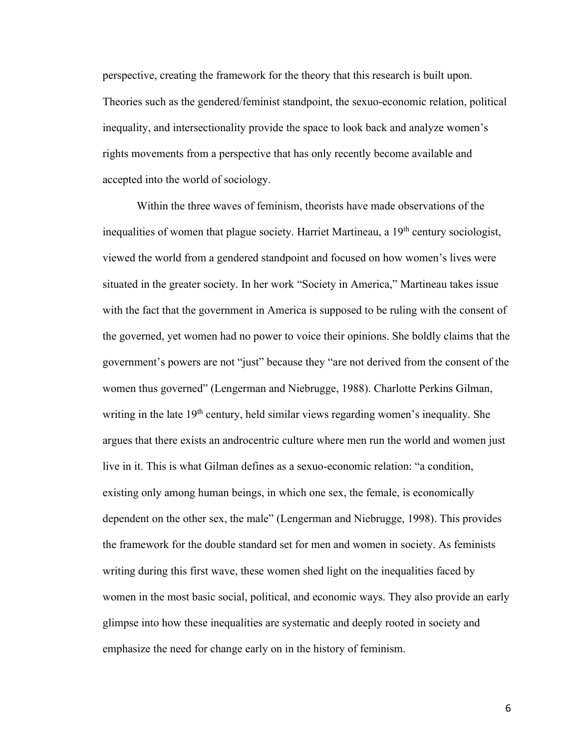perspective, creating the framework for the theory that this research is built upon. Theories such as the gendered/feminist standpoint, the sexuo-economic relation, political inequality, and intersectionality provide the space to look back and analyze women's rights movements from a perspective that has only recently become available and accepted into the world of sociology.

Within the three waves of feminism, theorists have made observations of the inequalities of women that plague society. Harriet Martineau, a 19<sup>th</sup> century sociologist, viewed the world from a gendered standpoint and focused on how women's lives were situated in the greater society. In her work "Society in America," Martineau takes issue with the fact that the government in America is supposed to be ruling with the consent of the governed, yet women had no power to voice their opinions. She boldly claims that the government's powers are not "just" because they "are not derived from the consent of the women thus governed" (Lengerman and Niebrugge, 1988). Charlotte Perkins Gilman, writing in the late 19<sup>th</sup> century, held similar views regarding women's inequality. She argues that there exists an androcentric culture where men run the world and women just live in it. This is what Gilman defines as a sexuo-economic relation: "a condition, existing only among human beings, in which one sex, the female, is economically dependent on the other sex, the male" (Lengerman and Niebrugge, 1998). This provides the framework for the double standard set for men and women in society. As feminists writing during this first wave, these women shed light on the inequalities faced by women in the most basic social, political, and economic ways. They also provide an early glimpse into how these inequalities are systematic and deeply rooted in society and emphasize the need for change early on in the history of feminism.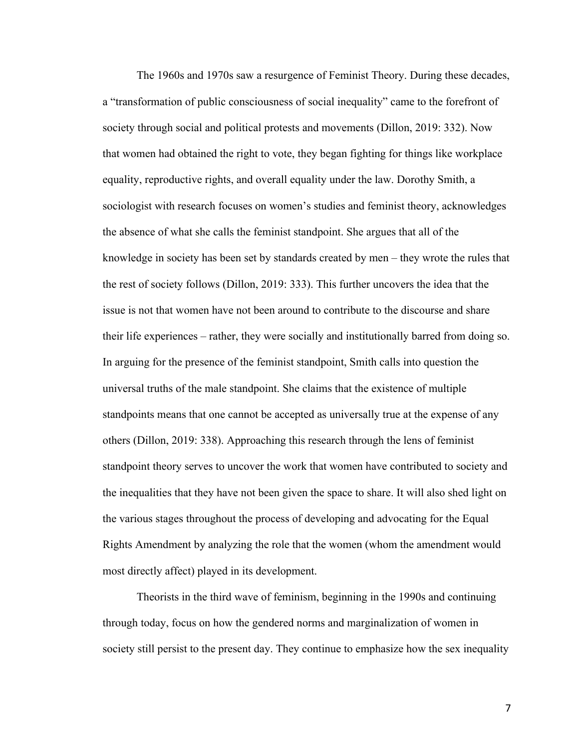The 1960s and 1970s saw a resurgence of Feminist Theory. During these decades, a "transformation of public consciousness of social inequality" came to the forefront of society through social and political protests and movements (Dillon, 2019: 332). Now that women had obtained the right to vote, they began fighting for things like workplace equality, reproductive rights, and overall equality under the law. Dorothy Smith, a sociologist with research focuses on women's studies and feminist theory, acknowledges the absence of what she calls the feminist standpoint. She argues that all of the knowledge in society has been set by standards created by men – they wrote the rules that the rest of society follows (Dillon, 2019: 333). This further uncovers the idea that the issue is not that women have not been around to contribute to the discourse and share their life experiences – rather, they were socially and institutionally barred from doing so. In arguing for the presence of the feminist standpoint, Smith calls into question the universal truths of the male standpoint. She claims that the existence of multiple standpoints means that one cannot be accepted as universally true at the expense of any others (Dillon, 2019: 338). Approaching this research through the lens of feminist standpoint theory serves to uncover the work that women have contributed to society and the inequalities that they have not been given the space to share. It will also shed light on the various stages throughout the process of developing and advocating for the Equal Rights Amendment by analyzing the role that the women (whom the amendment would most directly affect) played in its development.

Theorists in the third wave of feminism, beginning in the 1990s and continuing through today, focus on how the gendered norms and marginalization of women in society still persist to the present day. They continue to emphasize how the sex inequality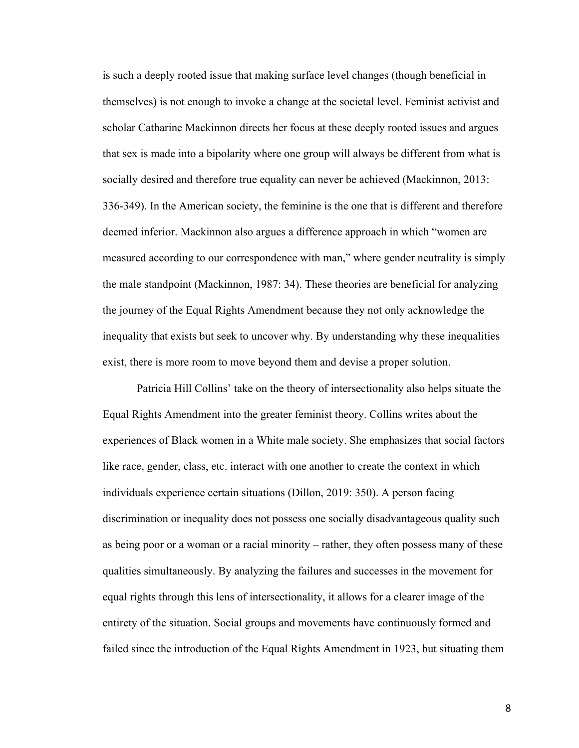is such a deeply rooted issue that making surface level changes (though beneficial in themselves) is not enough to invoke a change at the societal level. Feminist activist and scholar Catharine Mackinnon directs her focus at these deeply rooted issues and argues that sex is made into a bipolarity where one group will always be different from what is socially desired and therefore true equality can never be achieved (Mackinnon, 2013: 336-349). In the American society, the feminine is the one that is different and therefore deemed inferior. Mackinnon also argues a difference approach in which "women are measured according to our correspondence with man," where gender neutrality is simply the male standpoint (Mackinnon, 1987: 34). These theories are beneficial for analyzing the journey of the Equal Rights Amendment because they not only acknowledge the inequality that exists but seek to uncover why. By understanding why these inequalities exist, there is more room to move beyond them and devise a proper solution.

Patricia Hill Collins' take on the theory of intersectionality also helps situate the Equal Rights Amendment into the greater feminist theory. Collins writes about the experiences of Black women in a White male society. She emphasizes that social factors like race, gender, class, etc. interact with one another to create the context in which individuals experience certain situations (Dillon, 2019: 350). A person facing discrimination or inequality does not possess one socially disadvantageous quality such as being poor or a woman or a racial minority – rather, they often possess many of these qualities simultaneously. By analyzing the failures and successes in the movement for equal rights through this lens of intersectionality, it allows for a clearer image of the entirety of the situation. Social groups and movements have continuously formed and failed since the introduction of the Equal Rights Amendment in 1923, but situating them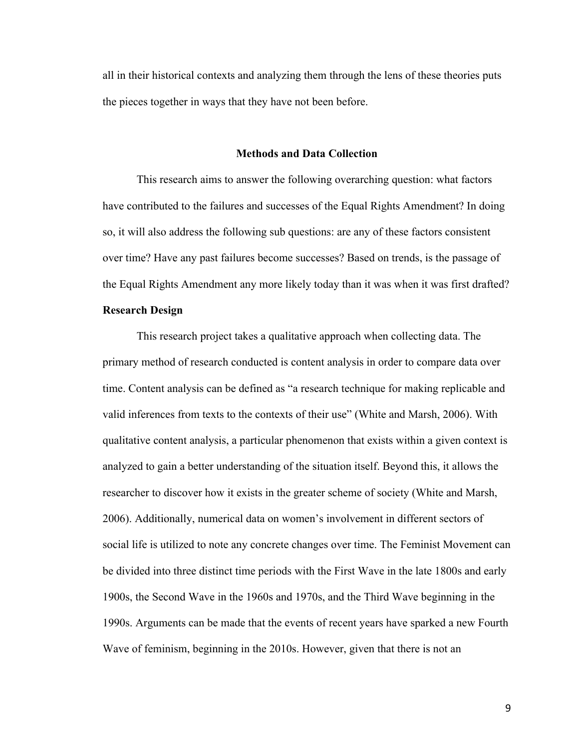all in their historical contexts and analyzing them through the lens of these theories puts the pieces together in ways that they have not been before.

#### **Methods and Data Collection**

This research aims to answer the following overarching question: what factors have contributed to the failures and successes of the Equal Rights Amendment? In doing so, it will also address the following sub questions: are any of these factors consistent over time? Have any past failures become successes? Based on trends, is the passage of the Equal Rights Amendment any more likely today than it was when it was first drafted?

# **Research Design**

This research project takes a qualitative approach when collecting data. The primary method of research conducted is content analysis in order to compare data over time. Content analysis can be defined as "a research technique for making replicable and valid inferences from texts to the contexts of their use" (White and Marsh, 2006). With qualitative content analysis, a particular phenomenon that exists within a given context is analyzed to gain a better understanding of the situation itself. Beyond this, it allows the researcher to discover how it exists in the greater scheme of society (White and Marsh, 2006). Additionally, numerical data on women's involvement in different sectors of social life is utilized to note any concrete changes over time. The Feminist Movement can be divided into three distinct time periods with the First Wave in the late 1800s and early 1900s, the Second Wave in the 1960s and 1970s, and the Third Wave beginning in the 1990s. Arguments can be made that the events of recent years have sparked a new Fourth Wave of feminism, beginning in the 2010s. However, given that there is not an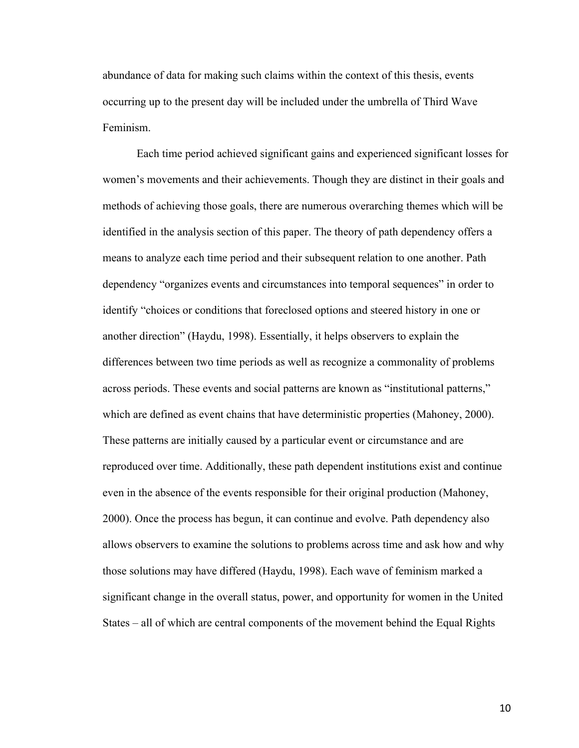abundance of data for making such claims within the context of this thesis, events occurring up to the present day will be included under the umbrella of Third Wave Feminism.

Each time period achieved significant gains and experienced significant losses for women's movements and their achievements. Though they are distinct in their goals and methods of achieving those goals, there are numerous overarching themes which will be identified in the analysis section of this paper. The theory of path dependency offers a means to analyze each time period and their subsequent relation to one another. Path dependency "organizes events and circumstances into temporal sequences" in order to identify "choices or conditions that foreclosed options and steered history in one or another direction" (Haydu, 1998). Essentially, it helps observers to explain the differences between two time periods as well as recognize a commonality of problems across periods. These events and social patterns are known as "institutional patterns," which are defined as event chains that have deterministic properties (Mahoney, 2000). These patterns are initially caused by a particular event or circumstance and are reproduced over time. Additionally, these path dependent institutions exist and continue even in the absence of the events responsible for their original production (Mahoney, 2000). Once the process has begun, it can continue and evolve. Path dependency also allows observers to examine the solutions to problems across time and ask how and why those solutions may have differed (Haydu, 1998). Each wave of feminism marked a significant change in the overall status, power, and opportunity for women in the United States – all of which are central components of the movement behind the Equal Rights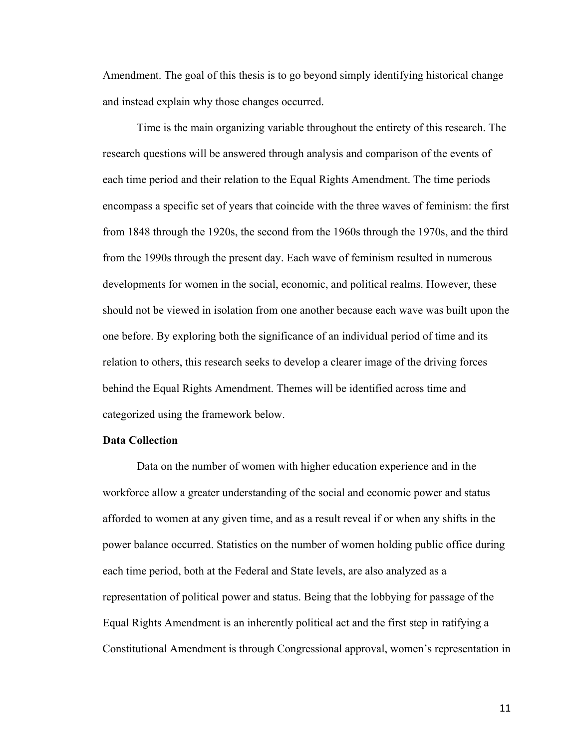Amendment. The goal of this thesis is to go beyond simply identifying historical change and instead explain why those changes occurred.

Time is the main organizing variable throughout the entirety of this research. The research questions will be answered through analysis and comparison of the events of each time period and their relation to the Equal Rights Amendment. The time periods encompass a specific set of years that coincide with the three waves of feminism: the first from 1848 through the 1920s, the second from the 1960s through the 1970s, and the third from the 1990s through the present day. Each wave of feminism resulted in numerous developments for women in the social, economic, and political realms. However, these should not be viewed in isolation from one another because each wave was built upon the one before. By exploring both the significance of an individual period of time and its relation to others, this research seeks to develop a clearer image of the driving forces behind the Equal Rights Amendment. Themes will be identified across time and categorized using the framework below.

# **Data Collection**

Data on the number of women with higher education experience and in the workforce allow a greater understanding of the social and economic power and status afforded to women at any given time, and as a result reveal if or when any shifts in the power balance occurred. Statistics on the number of women holding public office during each time period, both at the Federal and State levels, are also analyzed as a representation of political power and status. Being that the lobbying for passage of the Equal Rights Amendment is an inherently political act and the first step in ratifying a Constitutional Amendment is through Congressional approval, women's representation in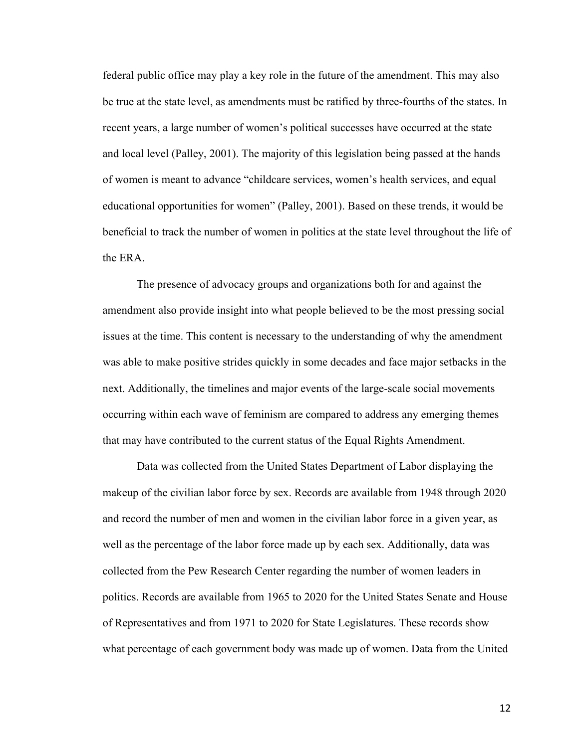federal public office may play a key role in the future of the amendment. This may also be true at the state level, as amendments must be ratified by three-fourths of the states. In recent years, a large number of women's political successes have occurred at the state and local level (Palley, 2001). The majority of this legislation being passed at the hands of women is meant to advance "childcare services, women's health services, and equal educational opportunities for women" (Palley, 2001). Based on these trends, it would be beneficial to track the number of women in politics at the state level throughout the life of the ERA.

The presence of advocacy groups and organizations both for and against the amendment also provide insight into what people believed to be the most pressing social issues at the time. This content is necessary to the understanding of why the amendment was able to make positive strides quickly in some decades and face major setbacks in the next. Additionally, the timelines and major events of the large-scale social movements occurring within each wave of feminism are compared to address any emerging themes that may have contributed to the current status of the Equal Rights Amendment.

Data was collected from the United States Department of Labor displaying the makeup of the civilian labor force by sex. Records are available from 1948 through 2020 and record the number of men and women in the civilian labor force in a given year, as well as the percentage of the labor force made up by each sex. Additionally, data was collected from the Pew Research Center regarding the number of women leaders in politics. Records are available from 1965 to 2020 for the United States Senate and House of Representatives and from 1971 to 2020 for State Legislatures. These records show what percentage of each government body was made up of women. Data from the United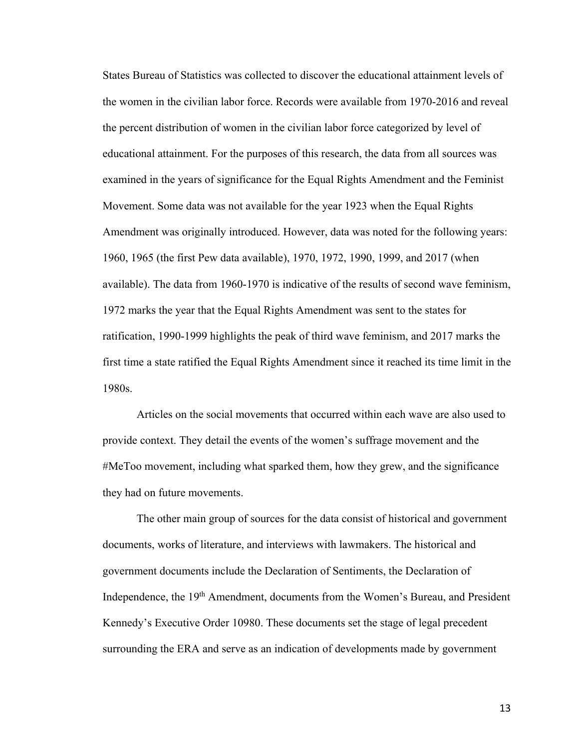States Bureau of Statistics was collected to discover the educational attainment levels of the women in the civilian labor force. Records were available from 1970-2016 and reveal the percent distribution of women in the civilian labor force categorized by level of educational attainment. For the purposes of this research, the data from all sources was examined in the years of significance for the Equal Rights Amendment and the Feminist Movement. Some data was not available for the year 1923 when the Equal Rights Amendment was originally introduced. However, data was noted for the following years: 1960, 1965 (the first Pew data available), 1970, 1972, 1990, 1999, and 2017 (when available). The data from 1960-1970 is indicative of the results of second wave feminism, 1972 marks the year that the Equal Rights Amendment was sent to the states for ratification, 1990-1999 highlights the peak of third wave feminism, and 2017 marks the first time a state ratified the Equal Rights Amendment since it reached its time limit in the 1980s.

Articles on the social movements that occurred within each wave are also used to provide context. They detail the events of the women's suffrage movement and the #MeToo movement, including what sparked them, how they grew, and the significance they had on future movements.

The other main group of sources for the data consist of historical and government documents, works of literature, and interviews with lawmakers. The historical and government documents include the Declaration of Sentiments, the Declaration of Independence, the 19th Amendment, documents from the Women's Bureau, and President Kennedy's Executive Order 10980. These documents set the stage of legal precedent surrounding the ERA and serve as an indication of developments made by government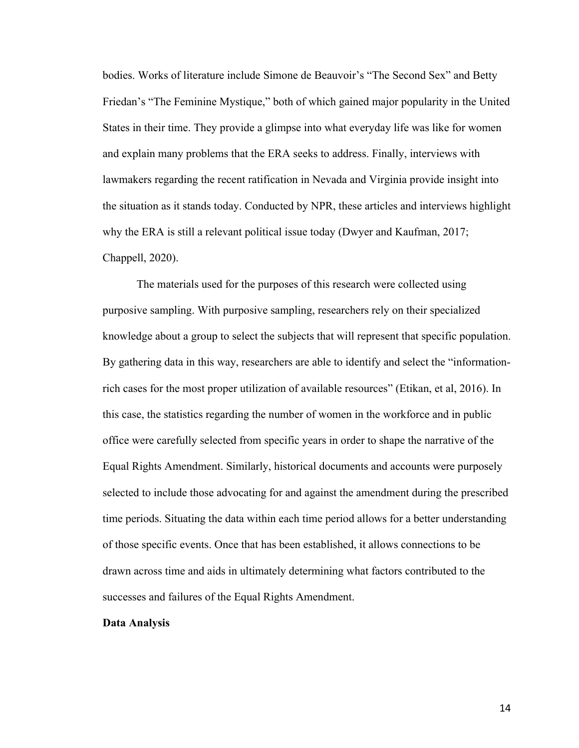bodies. Works of literature include Simone de Beauvoir's "The Second Sex" and Betty Friedan's "The Feminine Mystique," both of which gained major popularity in the United States in their time. They provide a glimpse into what everyday life was like for women and explain many problems that the ERA seeks to address. Finally, interviews with lawmakers regarding the recent ratification in Nevada and Virginia provide insight into the situation as it stands today. Conducted by NPR, these articles and interviews highlight why the ERA is still a relevant political issue today (Dwyer and Kaufman, 2017; Chappell, 2020).

The materials used for the purposes of this research were collected using purposive sampling. With purposive sampling, researchers rely on their specialized knowledge about a group to select the subjects that will represent that specific population. By gathering data in this way, researchers are able to identify and select the "informationrich cases for the most proper utilization of available resources" (Etikan, et al, 2016). In this case, the statistics regarding the number of women in the workforce and in public office were carefully selected from specific years in order to shape the narrative of the Equal Rights Amendment. Similarly, historical documents and accounts were purposely selected to include those advocating for and against the amendment during the prescribed time periods. Situating the data within each time period allows for a better understanding of those specific events. Once that has been established, it allows connections to be drawn across time and aids in ultimately determining what factors contributed to the successes and failures of the Equal Rights Amendment.

# **Data Analysis**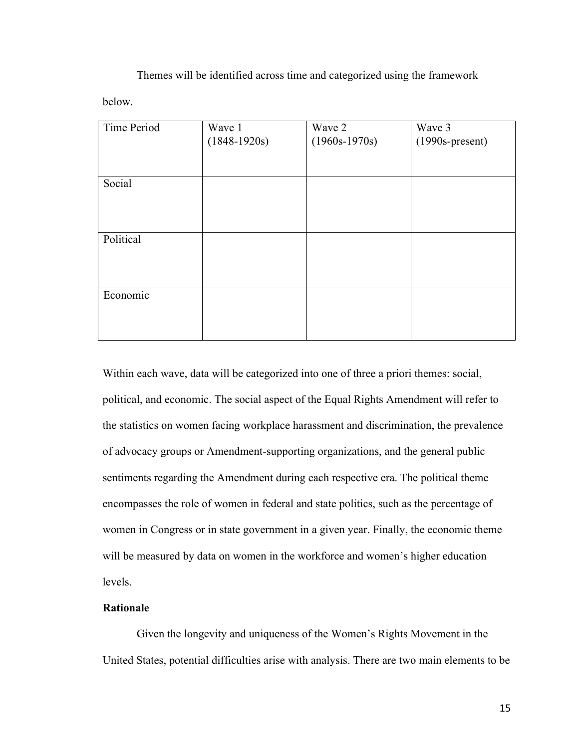Themes will be identified across time and categorized using the framework below.

| Time Period | Wave 1         | Wave 2          | Wave 3            |
|-------------|----------------|-----------------|-------------------|
|             | $(1848-1920s)$ | $(1960s-1970s)$ | $(1990s-present)$ |
|             |                |                 |                   |
|             |                |                 |                   |
| Social      |                |                 |                   |
|             |                |                 |                   |
|             |                |                 |                   |
|             |                |                 |                   |
| Political   |                |                 |                   |
|             |                |                 |                   |
|             |                |                 |                   |
|             |                |                 |                   |
| Economic    |                |                 |                   |
|             |                |                 |                   |
|             |                |                 |                   |
|             |                |                 |                   |

Within each wave, data will be categorized into one of three a priori themes: social, political, and economic. The social aspect of the Equal Rights Amendment will refer to the statistics on women facing workplace harassment and discrimination, the prevalence of advocacy groups or Amendment-supporting organizations, and the general public sentiments regarding the Amendment during each respective era. The political theme encompasses the role of women in federal and state politics, such as the percentage of women in Congress or in state government in a given year. Finally, the economic theme will be measured by data on women in the workforce and women's higher education levels.

# **Rationale**

Given the longevity and uniqueness of the Women's Rights Movement in the United States, potential difficulties arise with analysis. There are two main elements to be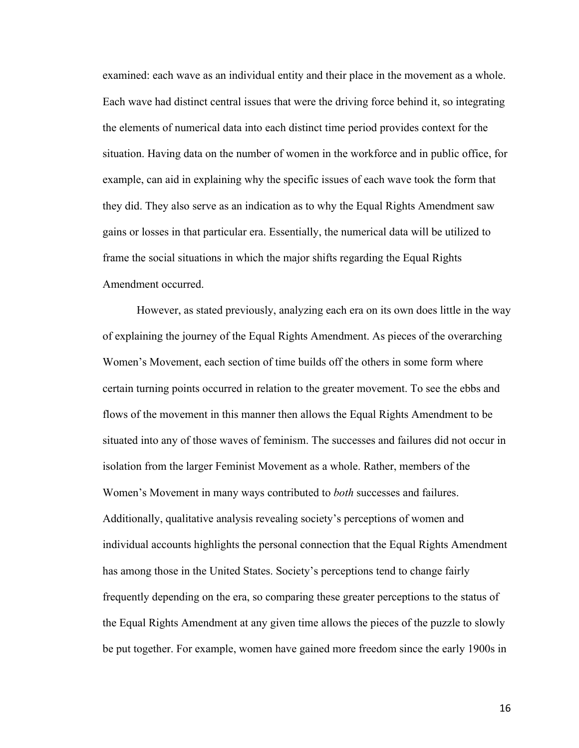examined: each wave as an individual entity and their place in the movement as a whole. Each wave had distinct central issues that were the driving force behind it, so integrating the elements of numerical data into each distinct time period provides context for the situation. Having data on the number of women in the workforce and in public office, for example, can aid in explaining why the specific issues of each wave took the form that they did. They also serve as an indication as to why the Equal Rights Amendment saw gains or losses in that particular era. Essentially, the numerical data will be utilized to frame the social situations in which the major shifts regarding the Equal Rights Amendment occurred.

However, as stated previously, analyzing each era on its own does little in the way of explaining the journey of the Equal Rights Amendment. As pieces of the overarching Women's Movement, each section of time builds off the others in some form where certain turning points occurred in relation to the greater movement. To see the ebbs and flows of the movement in this manner then allows the Equal Rights Amendment to be situated into any of those waves of feminism. The successes and failures did not occur in isolation from the larger Feminist Movement as a whole. Rather, members of the Women's Movement in many ways contributed to *both* successes and failures. Additionally, qualitative analysis revealing society's perceptions of women and individual accounts highlights the personal connection that the Equal Rights Amendment has among those in the United States. Society's perceptions tend to change fairly frequently depending on the era, so comparing these greater perceptions to the status of the Equal Rights Amendment at any given time allows the pieces of the puzzle to slowly be put together. For example, women have gained more freedom since the early 1900s in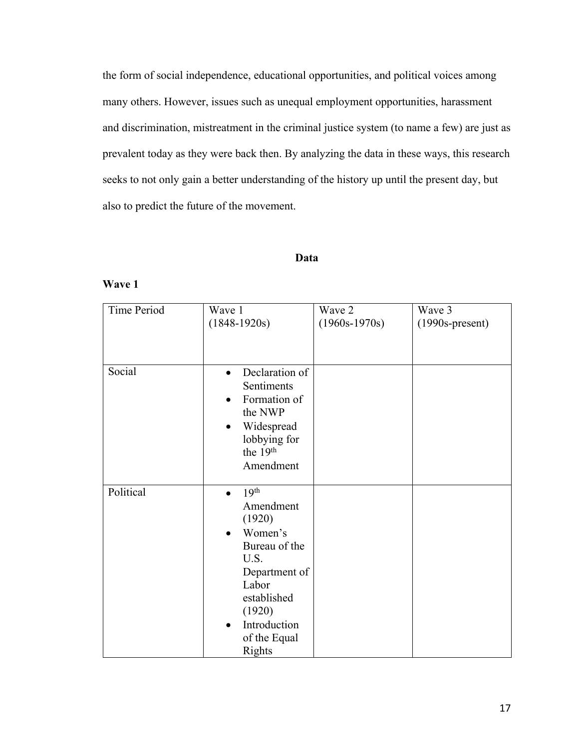the form of social independence, educational opportunities, and political voices among many others. However, issues such as unequal employment opportunities, harassment and discrimination, mistreatment in the criminal justice system (to name a few) are just as prevalent today as they were back then. By analyzing the data in these ways, this research seeks to not only gain a better understanding of the history up until the present day, but also to predict the future of the movement.

# **Data**

# **Wave 1**

| Time Period | Wave 1                        | Wave 2          | Wave 3            |
|-------------|-------------------------------|-----------------|-------------------|
|             | $(1848-1920s)$                | $(1960s-1970s)$ | $(1990s-present)$ |
|             |                               |                 |                   |
|             |                               |                 |                   |
|             |                               |                 |                   |
| Social      | Declaration of<br>$\bullet$   |                 |                   |
|             | Sentiments                    |                 |                   |
|             | Formation of                  |                 |                   |
|             | the NWP                       |                 |                   |
|             | Widespread<br>$\bullet$       |                 |                   |
|             | lobbying for                  |                 |                   |
|             | the 19 <sup>th</sup>          |                 |                   |
|             | Amendment                     |                 |                   |
|             |                               |                 |                   |
| Political   | 19 <sup>th</sup><br>$\bullet$ |                 |                   |
|             | Amendment                     |                 |                   |
|             | (1920)                        |                 |                   |
|             | Women's                       |                 |                   |
|             | Bureau of the                 |                 |                   |
|             | U.S.                          |                 |                   |
|             | Department of                 |                 |                   |
|             | Labor                         |                 |                   |
|             | established                   |                 |                   |
|             | (1920)                        |                 |                   |
|             | Introduction                  |                 |                   |
|             | of the Equal                  |                 |                   |
|             | Rights                        |                 |                   |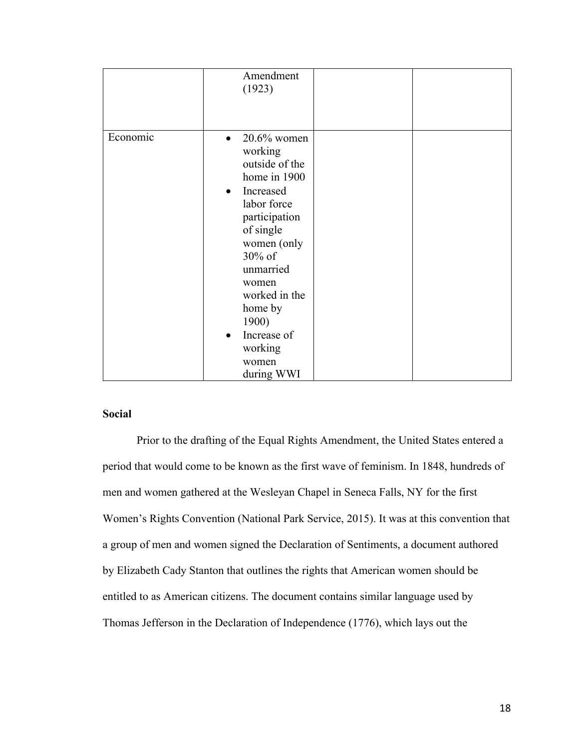|          | Amendment<br>(1923)                                                                                                                                                                                                                                                                               |
|----------|---------------------------------------------------------------------------------------------------------------------------------------------------------------------------------------------------------------------------------------------------------------------------------------------------|
| Economic | $20.6\%$ women<br>$\bullet$<br>working<br>outside of the<br>home in 1900<br>Increased<br>$\bullet$<br>labor force<br>participation<br>of single<br>women (only<br>30% of<br>unmarried<br>women<br>worked in the<br>home by<br>1900)<br>Increase of<br>$\bullet$<br>working<br>women<br>during WWI |

# **Social**

Prior to the drafting of the Equal Rights Amendment, the United States entered a period that would come to be known as the first wave of feminism. In 1848, hundreds of men and women gathered at the Wesleyan Chapel in Seneca Falls, NY for the first Women's Rights Convention (National Park Service, 2015). It was at this convention that a group of men and women signed the Declaration of Sentiments, a document authored by Elizabeth Cady Stanton that outlines the rights that American women should be entitled to as American citizens. The document contains similar language used by Thomas Jefferson in the Declaration of Independence (1776), which lays out the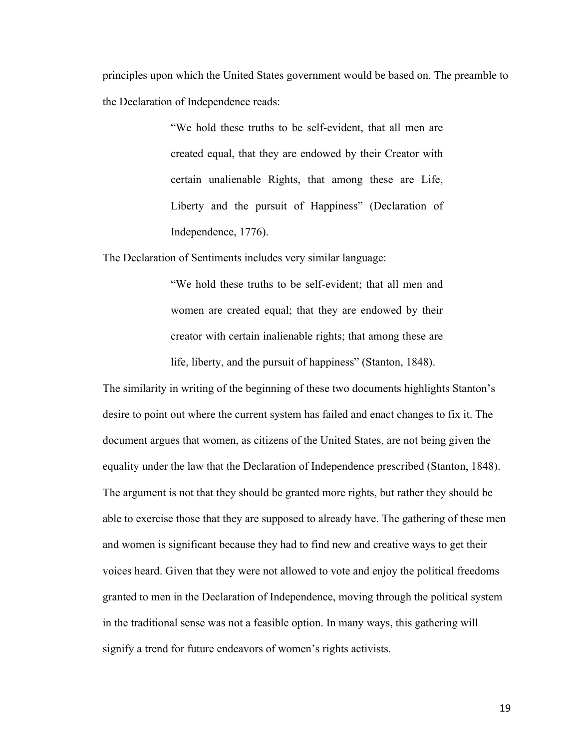principles upon which the United States government would be based on. The preamble to the Declaration of Independence reads:

> "We hold these truths to be self-evident, that all men are created equal, that they are endowed by their Creator with certain unalienable Rights, that among these are Life, Liberty and the pursuit of Happiness" (Declaration of Independence, 1776).

The Declaration of Sentiments includes very similar language:

"We hold these truths to be self-evident; that all men and women are created equal; that they are endowed by their creator with certain inalienable rights; that among these are life, liberty, and the pursuit of happiness" (Stanton, 1848).

The similarity in writing of the beginning of these two documents highlights Stanton's desire to point out where the current system has failed and enact changes to fix it. The document argues that women, as citizens of the United States, are not being given the equality under the law that the Declaration of Independence prescribed (Stanton, 1848). The argument is not that they should be granted more rights, but rather they should be able to exercise those that they are supposed to already have. The gathering of these men and women is significant because they had to find new and creative ways to get their voices heard. Given that they were not allowed to vote and enjoy the political freedoms granted to men in the Declaration of Independence, moving through the political system in the traditional sense was not a feasible option. In many ways, this gathering will signify a trend for future endeavors of women's rights activists.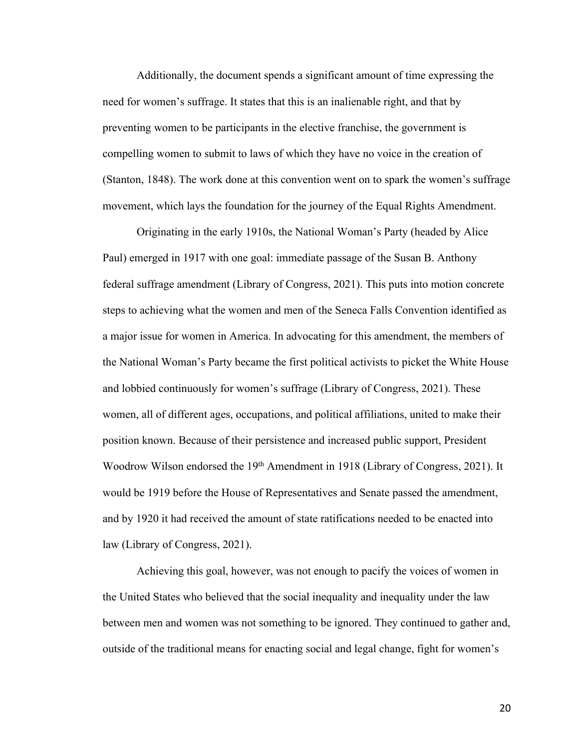Additionally, the document spends a significant amount of time expressing the need for women's suffrage. It states that this is an inalienable right, and that by preventing women to be participants in the elective franchise, the government is compelling women to submit to laws of which they have no voice in the creation of (Stanton, 1848). The work done at this convention went on to spark the women's suffrage movement, which lays the foundation for the journey of the Equal Rights Amendment.

Originating in the early 1910s, the National Woman's Party (headed by Alice Paul) emerged in 1917 with one goal: immediate passage of the Susan B. Anthony federal suffrage amendment (Library of Congress, 2021). This puts into motion concrete steps to achieving what the women and men of the Seneca Falls Convention identified as a major issue for women in America. In advocating for this amendment, the members of the National Woman's Party became the first political activists to picket the White House and lobbied continuously for women's suffrage (Library of Congress, 2021). These women, all of different ages, occupations, and political affiliations, united to make their position known. Because of their persistence and increased public support, President Woodrow Wilson endorsed the 19<sup>th</sup> Amendment in 1918 (Library of Congress, 2021). It would be 1919 before the House of Representatives and Senate passed the amendment, and by 1920 it had received the amount of state ratifications needed to be enacted into law (Library of Congress, 2021).

Achieving this goal, however, was not enough to pacify the voices of women in the United States who believed that the social inequality and inequality under the law between men and women was not something to be ignored. They continued to gather and, outside of the traditional means for enacting social and legal change, fight for women's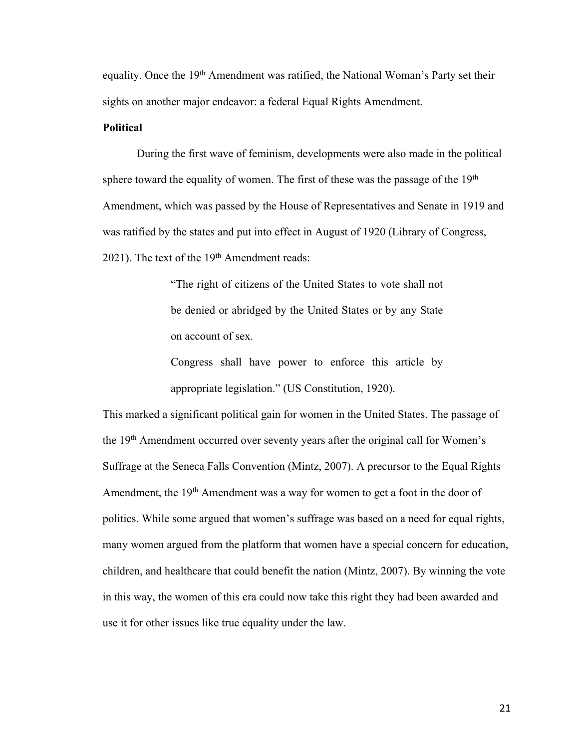equality. Once the 19<sup>th</sup> Amendment was ratified, the National Woman's Party set their sights on another major endeavor: a federal Equal Rights Amendment.

# **Political**

During the first wave of feminism, developments were also made in the political sphere toward the equality of women. The first of these was the passage of the  $19<sup>th</sup>$ Amendment, which was passed by the House of Representatives and Senate in 1919 and was ratified by the states and put into effect in August of 1920 (Library of Congress, 2021). The text of the 19<sup>th</sup> Amendment reads:

> "The right of citizens of the United States to vote shall not be denied or abridged by the United States or by any State on account of sex.

> Congress shall have power to enforce this article by appropriate legislation." (US Constitution, 1920).

This marked a significant political gain for women in the United States. The passage of the 19th Amendment occurred over seventy years after the original call for Women's Suffrage at the Seneca Falls Convention (Mintz, 2007). A precursor to the Equal Rights Amendment, the 19<sup>th</sup> Amendment was a way for women to get a foot in the door of politics. While some argued that women's suffrage was based on a need for equal rights, many women argued from the platform that women have a special concern for education, children, and healthcare that could benefit the nation (Mintz, 2007). By winning the vote in this way, the women of this era could now take this right they had been awarded and use it for other issues like true equality under the law.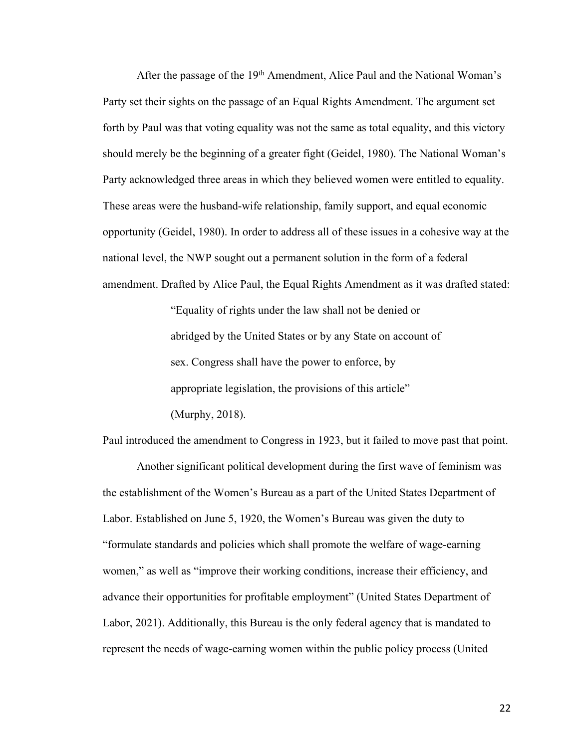After the passage of the 19<sup>th</sup> Amendment, Alice Paul and the National Woman's Party set their sights on the passage of an Equal Rights Amendment. The argument set forth by Paul was that voting equality was not the same as total equality, and this victory should merely be the beginning of a greater fight (Geidel, 1980). The National Woman's Party acknowledged three areas in which they believed women were entitled to equality. These areas were the husband-wife relationship, family support, and equal economic opportunity (Geidel, 1980). In order to address all of these issues in a cohesive way at the national level, the NWP sought out a permanent solution in the form of a federal amendment. Drafted by Alice Paul, the Equal Rights Amendment as it was drafted stated:

> "Equality of rights under the law shall not be denied or abridged by the United States or by any State on account of sex. Congress shall have the power to enforce, by appropriate legislation, the provisions of this article" (Murphy, 2018).

Paul introduced the amendment to Congress in 1923, but it failed to move past that point.

Another significant political development during the first wave of feminism was the establishment of the Women's Bureau as a part of the United States Department of Labor. Established on June 5, 1920, the Women's Bureau was given the duty to "formulate standards and policies which shall promote the welfare of wage-earning women," as well as "improve their working conditions, increase their efficiency, and advance their opportunities for profitable employment" (United States Department of Labor, 2021). Additionally, this Bureau is the only federal agency that is mandated to represent the needs of wage-earning women within the public policy process (United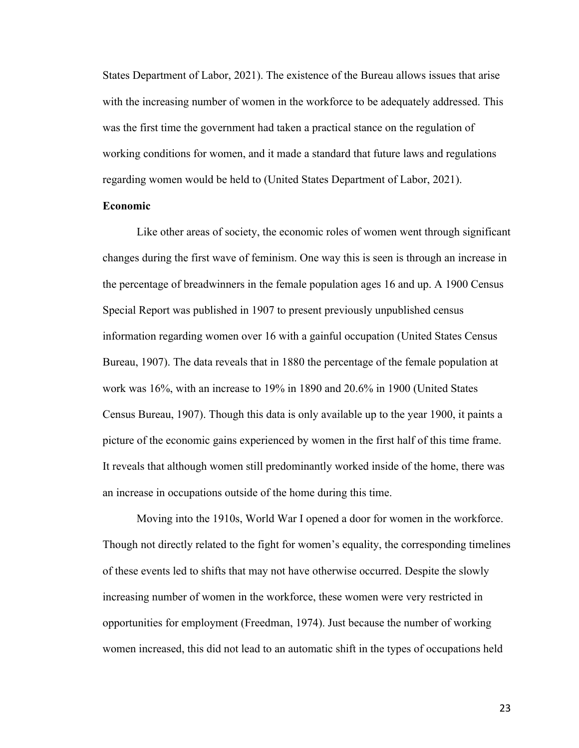States Department of Labor, 2021). The existence of the Bureau allows issues that arise with the increasing number of women in the workforce to be adequately addressed. This was the first time the government had taken a practical stance on the regulation of working conditions for women, and it made a standard that future laws and regulations regarding women would be held to (United States Department of Labor, 2021).

## **Economic**

Like other areas of society, the economic roles of women went through significant changes during the first wave of feminism. One way this is seen is through an increase in the percentage of breadwinners in the female population ages 16 and up. A 1900 Census Special Report was published in 1907 to present previously unpublished census information regarding women over 16 with a gainful occupation (United States Census Bureau, 1907). The data reveals that in 1880 the percentage of the female population at work was 16%, with an increase to 19% in 1890 and 20.6% in 1900 (United States Census Bureau, 1907). Though this data is only available up to the year 1900, it paints a picture of the economic gains experienced by women in the first half of this time frame. It reveals that although women still predominantly worked inside of the home, there was an increase in occupations outside of the home during this time.

Moving into the 1910s, World War I opened a door for women in the workforce. Though not directly related to the fight for women's equality, the corresponding timelines of these events led to shifts that may not have otherwise occurred. Despite the slowly increasing number of women in the workforce, these women were very restricted in opportunities for employment (Freedman, 1974). Just because the number of working women increased, this did not lead to an automatic shift in the types of occupations held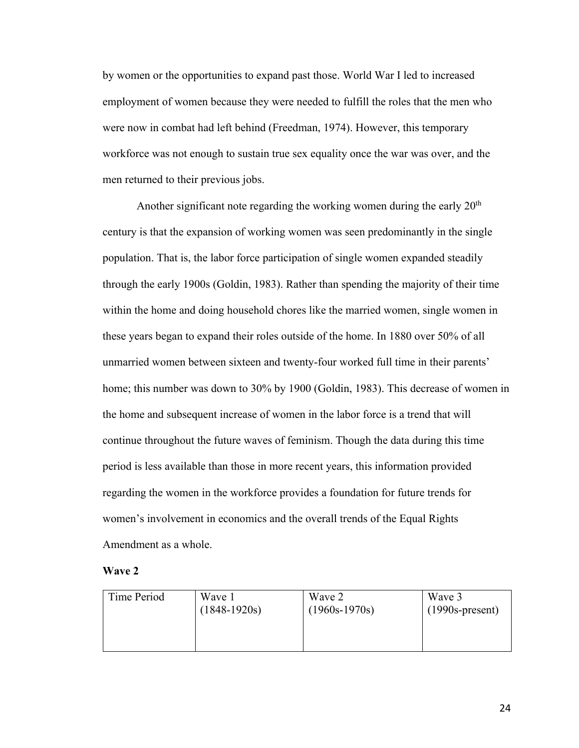by women or the opportunities to expand past those. World War I led to increased employment of women because they were needed to fulfill the roles that the men who were now in combat had left behind (Freedman, 1974). However, this temporary workforce was not enough to sustain true sex equality once the war was over, and the men returned to their previous jobs.

Another significant note regarding the working women during the early  $20<sup>th</sup>$ century is that the expansion of working women was seen predominantly in the single population. That is, the labor force participation of single women expanded steadily through the early 1900s (Goldin, 1983). Rather than spending the majority of their time within the home and doing household chores like the married women, single women in these years began to expand their roles outside of the home. In 1880 over 50% of all unmarried women between sixteen and twenty-four worked full time in their parents' home; this number was down to 30% by 1900 (Goldin, 1983). This decrease of women in the home and subsequent increase of women in the labor force is a trend that will continue throughout the future waves of feminism. Though the data during this time period is less available than those in more recent years, this information provided regarding the women in the workforce provides a foundation for future trends for women's involvement in economics and the overall trends of the Equal Rights Amendment as a whole.

#### **Wave 2**

| Time Period | Wave 1         | Wave 2          | Wave 3            |
|-------------|----------------|-----------------|-------------------|
|             | $(1848-1920s)$ | $(1960s-1970s)$ | $(1990s-present)$ |
|             |                |                 |                   |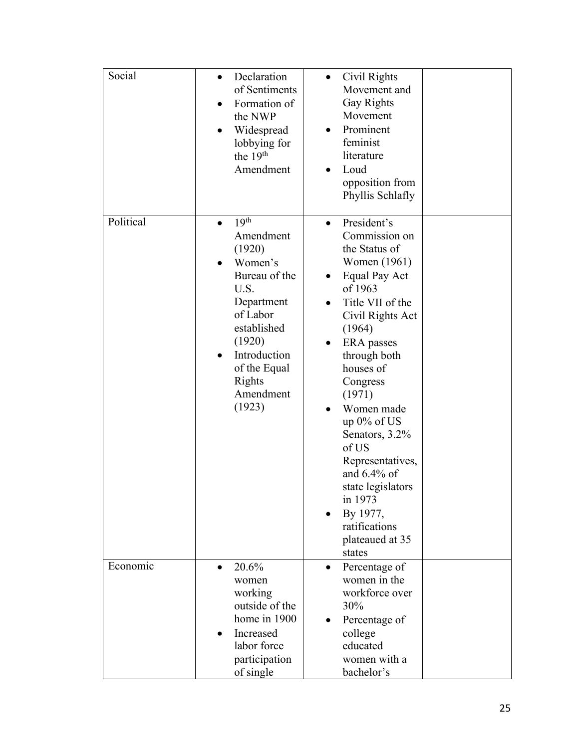| Social    | Declaration<br>$\bullet$<br>of Sentiments<br>Formation of<br>$\bullet$<br>the NWP<br>Widespread                                                                                                              | Civil Rights<br>$\bullet$<br>Movement and<br><b>Gay Rights</b><br>Movement<br>Prominent                                                                                                                                                                                                                                                                                                                                                               |
|-----------|--------------------------------------------------------------------------------------------------------------------------------------------------------------------------------------------------------------|-------------------------------------------------------------------------------------------------------------------------------------------------------------------------------------------------------------------------------------------------------------------------------------------------------------------------------------------------------------------------------------------------------------------------------------------------------|
|           | lobbying for<br>the 19 <sup>th</sup><br>Amendment                                                                                                                                                            | feminist<br>literature<br>Loud<br>opposition from<br>Phyllis Schlafly                                                                                                                                                                                                                                                                                                                                                                                 |
| Political | 19 <sup>th</sup><br>$\bullet$<br>Amendment<br>(1920)<br>Women's<br>Bureau of the<br>U.S.<br>Department<br>of Labor<br>established<br>(1920)<br>Introduction<br>of the Equal<br>Rights<br>Amendment<br>(1923) | President's<br>$\bullet$<br>Commission on<br>the Status of<br>Women (1961)<br>Equal Pay Act<br>$\bullet$<br>of 1963<br>Title VII of the<br>$\bullet$<br>Civil Rights Act<br>(1964)<br><b>ERA</b> passes<br>through both<br>houses of<br>Congress<br>(1971)<br>Women made<br>up $0\%$ of US<br>Senators, 3.2%<br>of US<br>Representatives,<br>and $6.4\%$ of<br>state legislators<br>in 1973<br>By 1977,<br>ratifications<br>plateaued at 35<br>states |
| Economic  | 20.6%<br>women<br>working<br>outside of the<br>home in 1900<br>Increased<br>labor force<br>participation<br>of single                                                                                        | Percentage of<br>women in the<br>workforce over<br>30%<br>Percentage of<br>$\bullet$<br>college<br>educated<br>women with a<br>bachelor's                                                                                                                                                                                                                                                                                                             |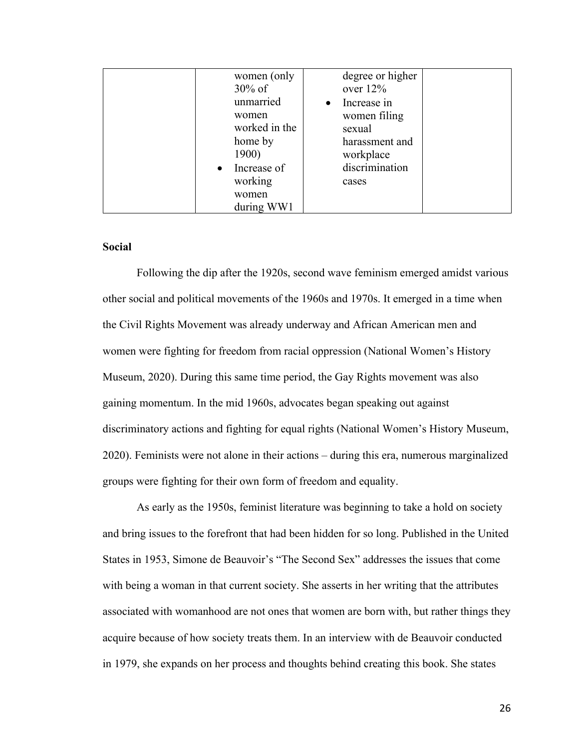| women (only<br>$30\%$ of | degree or higher<br>over $12\%$ |  |
|--------------------------|---------------------------------|--|
| unmarried                | Increase in                     |  |
| women<br>worked in the   | women filing<br>sexual          |  |
| home by<br>1900)         | harassment and                  |  |
| $\bullet$ Increase of    | workplace<br>discrimination     |  |
| working<br>women         | cases                           |  |
| during WW1               |                                 |  |

# **Social**

Following the dip after the 1920s, second wave feminism emerged amidst various other social and political movements of the 1960s and 1970s. It emerged in a time when the Civil Rights Movement was already underway and African American men and women were fighting for freedom from racial oppression (National Women's History Museum, 2020). During this same time period, the Gay Rights movement was also gaining momentum. In the mid 1960s, advocates began speaking out against discriminatory actions and fighting for equal rights (National Women's History Museum, 2020). Feminists were not alone in their actions – during this era, numerous marginalized groups were fighting for their own form of freedom and equality.

As early as the 1950s, feminist literature was beginning to take a hold on society and bring issues to the forefront that had been hidden for so long. Published in the United States in 1953, Simone de Beauvoir's "The Second Sex" addresses the issues that come with being a woman in that current society. She asserts in her writing that the attributes associated with womanhood are not ones that women are born with, but rather things they acquire because of how society treats them. In an interview with de Beauvoir conducted in 1979, she expands on her process and thoughts behind creating this book. She states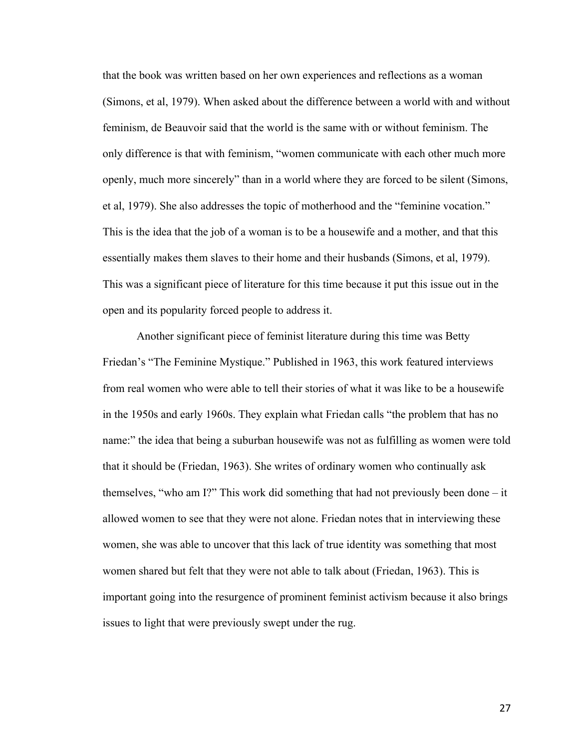that the book was written based on her own experiences and reflections as a woman (Simons, et al, 1979). When asked about the difference between a world with and without feminism, de Beauvoir said that the world is the same with or without feminism. The only difference is that with feminism, "women communicate with each other much more openly, much more sincerely" than in a world where they are forced to be silent (Simons, et al, 1979). She also addresses the topic of motherhood and the "feminine vocation." This is the idea that the job of a woman is to be a housewife and a mother, and that this essentially makes them slaves to their home and their husbands (Simons, et al, 1979). This was a significant piece of literature for this time because it put this issue out in the open and its popularity forced people to address it.

Another significant piece of feminist literature during this time was Betty Friedan's "The Feminine Mystique." Published in 1963, this work featured interviews from real women who were able to tell their stories of what it was like to be a housewife in the 1950s and early 1960s. They explain what Friedan calls "the problem that has no name:" the idea that being a suburban housewife was not as fulfilling as women were told that it should be (Friedan, 1963). She writes of ordinary women who continually ask themselves, "who am I?" This work did something that had not previously been done – it allowed women to see that they were not alone. Friedan notes that in interviewing these women, she was able to uncover that this lack of true identity was something that most women shared but felt that they were not able to talk about (Friedan, 1963). This is important going into the resurgence of prominent feminist activism because it also brings issues to light that were previously swept under the rug.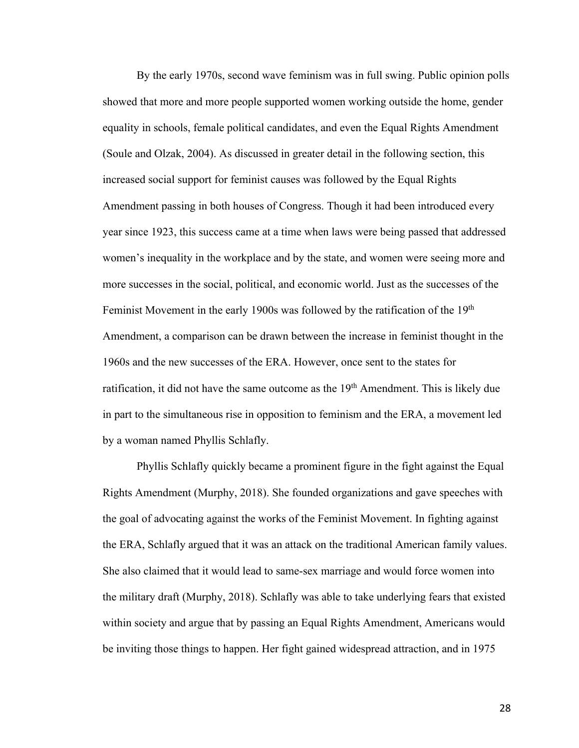By the early 1970s, second wave feminism was in full swing. Public opinion polls showed that more and more people supported women working outside the home, gender equality in schools, female political candidates, and even the Equal Rights Amendment (Soule and Olzak, 2004). As discussed in greater detail in the following section, this increased social support for feminist causes was followed by the Equal Rights Amendment passing in both houses of Congress. Though it had been introduced every year since 1923, this success came at a time when laws were being passed that addressed women's inequality in the workplace and by the state, and women were seeing more and more successes in the social, political, and economic world. Just as the successes of the Feminist Movement in the early 1900s was followed by the ratification of the 19<sup>th</sup> Amendment, a comparison can be drawn between the increase in feminist thought in the 1960s and the new successes of the ERA. However, once sent to the states for ratification, it did not have the same outcome as the 19<sup>th</sup> Amendment. This is likely due in part to the simultaneous rise in opposition to feminism and the ERA, a movement led by a woman named Phyllis Schlafly.

Phyllis Schlafly quickly became a prominent figure in the fight against the Equal Rights Amendment (Murphy, 2018). She founded organizations and gave speeches with the goal of advocating against the works of the Feminist Movement. In fighting against the ERA, Schlafly argued that it was an attack on the traditional American family values. She also claimed that it would lead to same-sex marriage and would force women into the military draft (Murphy, 2018). Schlafly was able to take underlying fears that existed within society and argue that by passing an Equal Rights Amendment, Americans would be inviting those things to happen. Her fight gained widespread attraction, and in 1975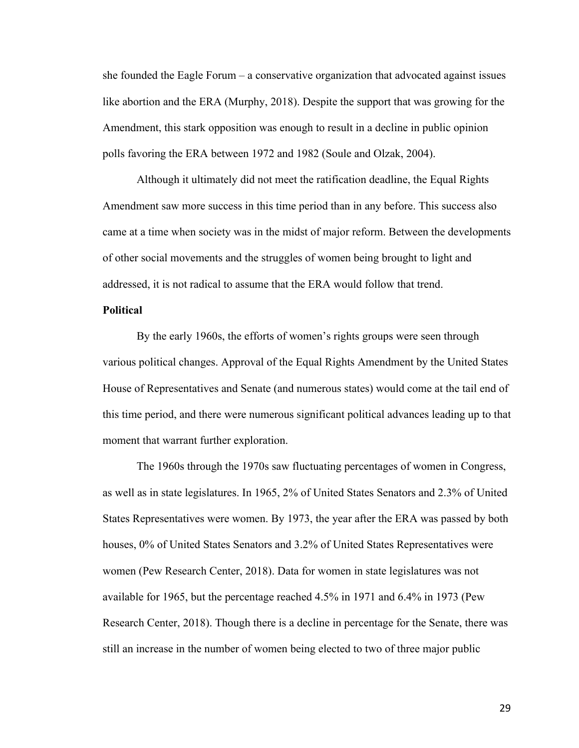she founded the Eagle Forum – a conservative organization that advocated against issues like abortion and the ERA (Murphy, 2018). Despite the support that was growing for the Amendment, this stark opposition was enough to result in a decline in public opinion polls favoring the ERA between 1972 and 1982 (Soule and Olzak, 2004).

Although it ultimately did not meet the ratification deadline, the Equal Rights Amendment saw more success in this time period than in any before. This success also came at a time when society was in the midst of major reform. Between the developments of other social movements and the struggles of women being brought to light and addressed, it is not radical to assume that the ERA would follow that trend.

# **Political**

By the early 1960s, the efforts of women's rights groups were seen through various political changes. Approval of the Equal Rights Amendment by the United States House of Representatives and Senate (and numerous states) would come at the tail end of this time period, and there were numerous significant political advances leading up to that moment that warrant further exploration.

The 1960s through the 1970s saw fluctuating percentages of women in Congress, as well as in state legislatures. In 1965, 2% of United States Senators and 2.3% of United States Representatives were women. By 1973, the year after the ERA was passed by both houses, 0% of United States Senators and 3.2% of United States Representatives were women (Pew Research Center, 2018). Data for women in state legislatures was not available for 1965, but the percentage reached 4.5% in 1971 and 6.4% in 1973 (Pew Research Center, 2018). Though there is a decline in percentage for the Senate, there was still an increase in the number of women being elected to two of three major public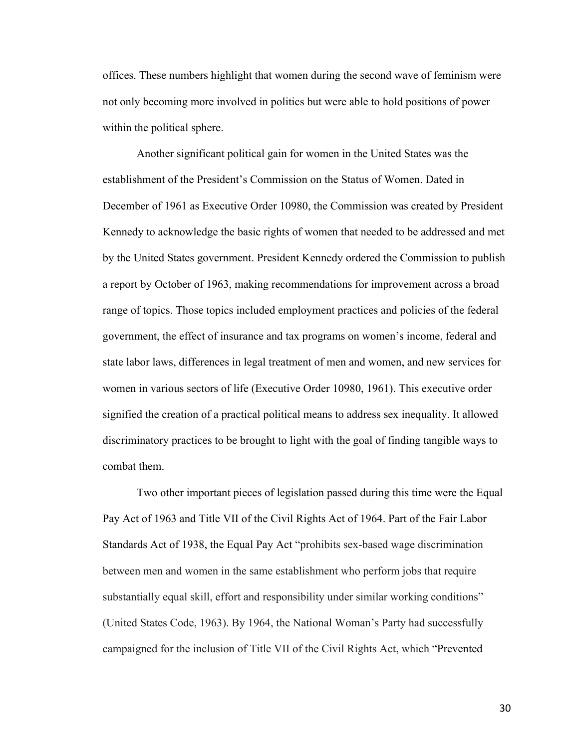offices. These numbers highlight that women during the second wave of feminism were not only becoming more involved in politics but were able to hold positions of power within the political sphere.

Another significant political gain for women in the United States was the establishment of the President's Commission on the Status of Women. Dated in December of 1961 as Executive Order 10980, the Commission was created by President Kennedy to acknowledge the basic rights of women that needed to be addressed and met by the United States government. President Kennedy ordered the Commission to publish a report by October of 1963, making recommendations for improvement across a broad range of topics. Those topics included employment practices and policies of the federal government, the effect of insurance and tax programs on women's income, federal and state labor laws, differences in legal treatment of men and women, and new services for women in various sectors of life (Executive Order 10980, 1961). This executive order signified the creation of a practical political means to address sex inequality. It allowed discriminatory practices to be brought to light with the goal of finding tangible ways to combat them.

Two other important pieces of legislation passed during this time were the Equal Pay Act of 1963 and Title VII of the Civil Rights Act of 1964. Part of the Fair Labor Standards Act of 1938, the Equal Pay Act "prohibits sex-based wage discrimination between men and women in the same establishment who perform jobs that require substantially equal skill, effort and responsibility under similar working conditions" (United States Code, 1963). By 1964, the National Woman's Party had successfully campaigned for the inclusion of Title VII of the Civil Rights Act, which "Prevented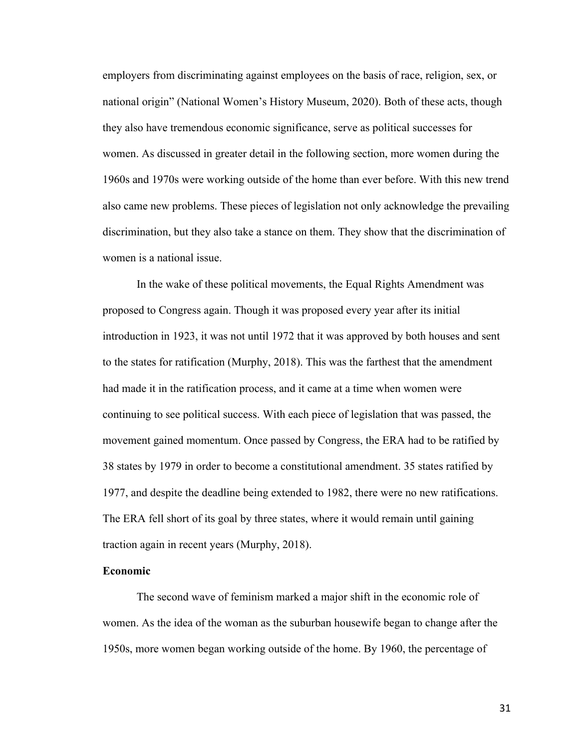employers from discriminating against employees on the basis of race, religion, sex, or national origin" (National Women's History Museum, 2020). Both of these acts, though they also have tremendous economic significance, serve as political successes for women. As discussed in greater detail in the following section, more women during the 1960s and 1970s were working outside of the home than ever before. With this new trend also came new problems. These pieces of legislation not only acknowledge the prevailing discrimination, but they also take a stance on them. They show that the discrimination of women is a national issue.

In the wake of these political movements, the Equal Rights Amendment was proposed to Congress again. Though it was proposed every year after its initial introduction in 1923, it was not until 1972 that it was approved by both houses and sent to the states for ratification (Murphy, 2018). This was the farthest that the amendment had made it in the ratification process, and it came at a time when women were continuing to see political success. With each piece of legislation that was passed, the movement gained momentum. Once passed by Congress, the ERA had to be ratified by 38 states by 1979 in order to become a constitutional amendment. 35 states ratified by 1977, and despite the deadline being extended to 1982, there were no new ratifications. The ERA fell short of its goal by three states, where it would remain until gaining traction again in recent years (Murphy, 2018).

# **Economic**

The second wave of feminism marked a major shift in the economic role of women. As the idea of the woman as the suburban housewife began to change after the 1950s, more women began working outside of the home. By 1960, the percentage of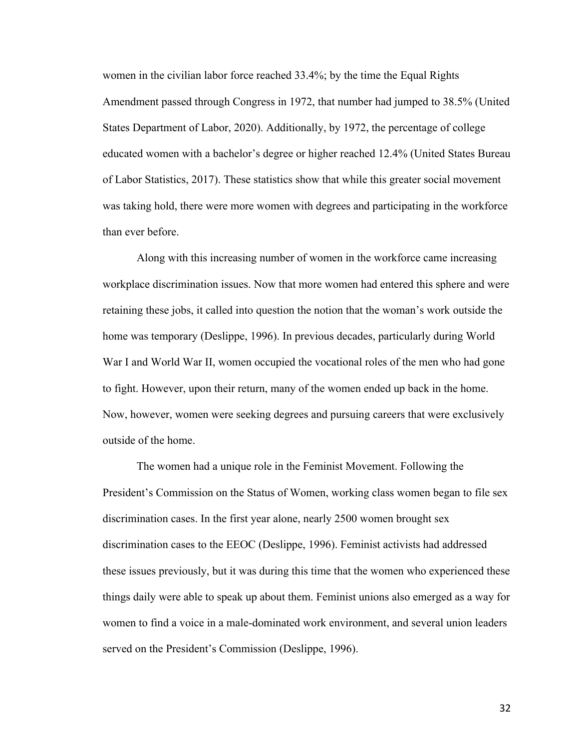women in the civilian labor force reached 33.4%; by the time the Equal Rights Amendment passed through Congress in 1972, that number had jumped to 38.5% (United States Department of Labor, 2020). Additionally, by 1972, the percentage of college educated women with a bachelor's degree or higher reached 12.4% (United States Bureau of Labor Statistics, 2017). These statistics show that while this greater social movement was taking hold, there were more women with degrees and participating in the workforce than ever before.

Along with this increasing number of women in the workforce came increasing workplace discrimination issues. Now that more women had entered this sphere and were retaining these jobs, it called into question the notion that the woman's work outside the home was temporary (Deslippe, 1996). In previous decades, particularly during World War I and World War II, women occupied the vocational roles of the men who had gone to fight. However, upon their return, many of the women ended up back in the home. Now, however, women were seeking degrees and pursuing careers that were exclusively outside of the home.

The women had a unique role in the Feminist Movement. Following the President's Commission on the Status of Women, working class women began to file sex discrimination cases. In the first year alone, nearly 2500 women brought sex discrimination cases to the EEOC (Deslippe, 1996). Feminist activists had addressed these issues previously, but it was during this time that the women who experienced these things daily were able to speak up about them. Feminist unions also emerged as a way for women to find a voice in a male-dominated work environment, and several union leaders served on the President's Commission (Deslippe, 1996).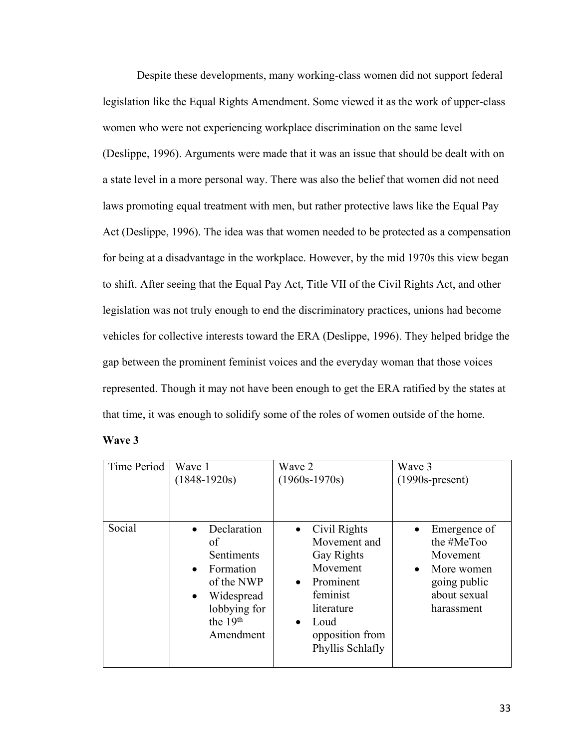Despite these developments, many working-class women did not support federal legislation like the Equal Rights Amendment. Some viewed it as the work of upper-class women who were not experiencing workplace discrimination on the same level (Deslippe, 1996). Arguments were made that it was an issue that should be dealt with on a state level in a more personal way. There was also the belief that women did not need laws promoting equal treatment with men, but rather protective laws like the Equal Pay Act (Deslippe, 1996). The idea was that women needed to be protected as a compensation for being at a disadvantage in the workplace. However, by the mid 1970s this view began to shift. After seeing that the Equal Pay Act, Title VII of the Civil Rights Act, and other legislation was not truly enough to end the discriminatory practices, unions had become vehicles for collective interests toward the ERA (Deslippe, 1996). They helped bridge the gap between the prominent feminist voices and the everyday woman that those voices represented. Though it may not have been enough to get the ERA ratified by the states at that time, it was enough to solidify some of the roles of women outside of the home.

| m<br>я<br>г.<br>٠ |
|-------------------|
|-------------------|

| Time Period | Wave 1                                                                                                                                                  | Wave 2                                                                                                                                                                                     | Wave 3                                                                                             |
|-------------|---------------------------------------------------------------------------------------------------------------------------------------------------------|--------------------------------------------------------------------------------------------------------------------------------------------------------------------------------------------|----------------------------------------------------------------------------------------------------|
|             | $(1848-1920s)$                                                                                                                                          | $(1960s-1970s)$                                                                                                                                                                            | $(1990s-present)$                                                                                  |
| Social      | Declaration<br>οf<br>Sentiments<br>Formation<br>$\bullet$<br>of the NWP<br>Widespread<br>$\bullet$<br>lobbying for<br>the 19 <sup>th</sup><br>Amendment | Civil Rights<br>$\bullet$<br>Movement and<br><b>Gay Rights</b><br>Movement<br>Prominent<br>$\bullet$<br>feminist<br>literature<br>Loud<br>$\bullet$<br>opposition from<br>Phyllis Schlafly | Emergence of<br>the #MeToo<br>Movement<br>More women<br>going public<br>about sexual<br>harassment |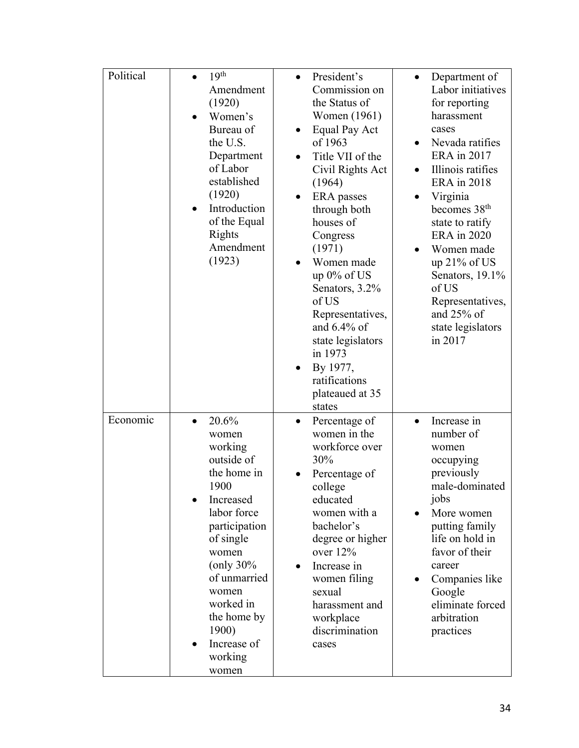| Political | 19 <sup>th</sup><br>Amendment<br>(1920)<br>Women's<br>Bureau of<br>the U.S.<br>Department<br>of Labor<br>established<br>(1920)<br>Introduction<br>of the Equal<br>Rights<br>Amendment<br>(1923)                                                                 | President's<br>Commission on<br>the Status of<br>Women (1961)<br>Equal Pay Act<br>$\bullet$<br>of 1963<br>Title VII of the<br>Civil Rights Act<br>(1964)<br>ERA passes<br>through both<br>houses of<br>Congress<br>(1971)<br>Women made<br>$\bullet$<br>up $0\%$ of US<br>Senators, 3.2%<br>of US<br>Representatives,<br>and $6.4\%$ of<br>state legislators<br>in 1973<br>By 1977, | Department of<br>Labor initiatives<br>for reporting<br>harassment<br>cases<br>Nevada ratifies<br>ERA in 2017<br>Illinois ratifies<br><b>ERA</b> in 2018<br>Virginia<br>becomes 38 <sup>th</sup><br>state to ratify<br><b>ERA</b> in 2020<br>Women made<br>up $21\%$ of US<br>Senators, 19.1%<br>of US<br>Representatives,<br>and $25%$ of<br>state legislators<br>in 2017 |
|-----------|-----------------------------------------------------------------------------------------------------------------------------------------------------------------------------------------------------------------------------------------------------------------|-------------------------------------------------------------------------------------------------------------------------------------------------------------------------------------------------------------------------------------------------------------------------------------------------------------------------------------------------------------------------------------|---------------------------------------------------------------------------------------------------------------------------------------------------------------------------------------------------------------------------------------------------------------------------------------------------------------------------------------------------------------------------|
| Economic  | 20.6%<br>$\bullet$<br>women<br>working<br>outside of<br>the home in<br>1900<br>Increased<br>labor force<br>participation<br>of single<br>women<br>(only $30\%$<br>of unmarried<br>women<br>worked in<br>the home by<br>1900)<br>Increase of<br>working<br>women | ratifications<br>plateaued at 35<br>states<br>Percentage of<br>$\bullet$<br>women in the<br>workforce over<br>30%<br>Percentage of<br>college<br>educated<br>women with a<br>bachelor's<br>degree or higher<br>over 12%<br>Increase in<br>women filing<br>sexual<br>harassment and<br>workplace<br>discrimination<br>cases                                                          | Increase in<br>$\bullet$<br>number of<br>women<br>occupying<br>previously<br>male-dominated<br>jobs<br>More women<br>putting family<br>life on hold in<br>favor of their<br>career<br>Companies like<br>Google<br>eliminate forced<br>arbitration<br>practices                                                                                                            |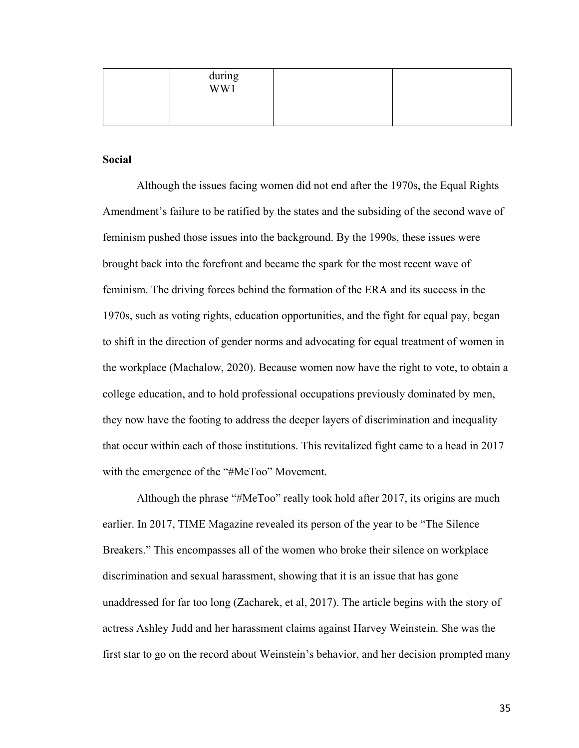| during<br>WW1 |  |
|---------------|--|
|               |  |

## **Social**

Although the issues facing women did not end after the 1970s, the Equal Rights Amendment's failure to be ratified by the states and the subsiding of the second wave of feminism pushed those issues into the background. By the 1990s, these issues were brought back into the forefront and became the spark for the most recent wave of feminism. The driving forces behind the formation of the ERA and its success in the 1970s, such as voting rights, education opportunities, and the fight for equal pay, began to shift in the direction of gender norms and advocating for equal treatment of women in the workplace (Machalow, 2020). Because women now have the right to vote, to obtain a college education, and to hold professional occupations previously dominated by men, they now have the footing to address the deeper layers of discrimination and inequality that occur within each of those institutions. This revitalized fight came to a head in 2017 with the emergence of the "#MeToo" Movement.

Although the phrase "#MeToo" really took hold after 2017, its origins are much earlier. In 2017, TIME Magazine revealed its person of the year to be "The Silence Breakers." This encompasses all of the women who broke their silence on workplace discrimination and sexual harassment, showing that it is an issue that has gone unaddressed for far too long (Zacharek, et al, 2017). The article begins with the story of actress Ashley Judd and her harassment claims against Harvey Weinstein. She was the first star to go on the record about Weinstein's behavior, and her decision prompted many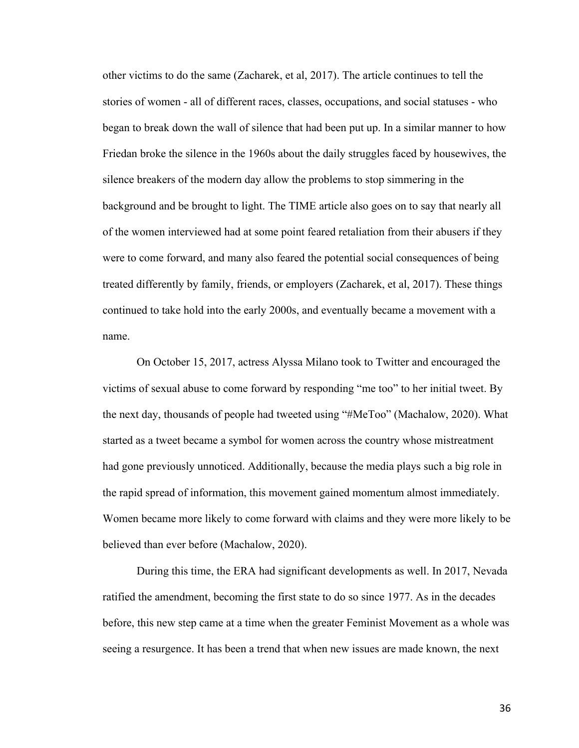other victims to do the same (Zacharek, et al, 2017). The article continues to tell the stories of women - all of different races, classes, occupations, and social statuses - who began to break down the wall of silence that had been put up. In a similar manner to how Friedan broke the silence in the 1960s about the daily struggles faced by housewives, the silence breakers of the modern day allow the problems to stop simmering in the background and be brought to light. The TIME article also goes on to say that nearly all of the women interviewed had at some point feared retaliation from their abusers if they were to come forward, and many also feared the potential social consequences of being treated differently by family, friends, or employers (Zacharek, et al, 2017). These things continued to take hold into the early 2000s, and eventually became a movement with a name.

On October 15, 2017, actress Alyssa Milano took to Twitter and encouraged the victims of sexual abuse to come forward by responding "me too" to her initial tweet. By the next day, thousands of people had tweeted using "#MeToo" (Machalow, 2020). What started as a tweet became a symbol for women across the country whose mistreatment had gone previously unnoticed. Additionally, because the media plays such a big role in the rapid spread of information, this movement gained momentum almost immediately. Women became more likely to come forward with claims and they were more likely to be believed than ever before (Machalow, 2020).

During this time, the ERA had significant developments as well. In 2017, Nevada ratified the amendment, becoming the first state to do so since 1977. As in the decades before, this new step came at a time when the greater Feminist Movement as a whole was seeing a resurgence. It has been a trend that when new issues are made known, the next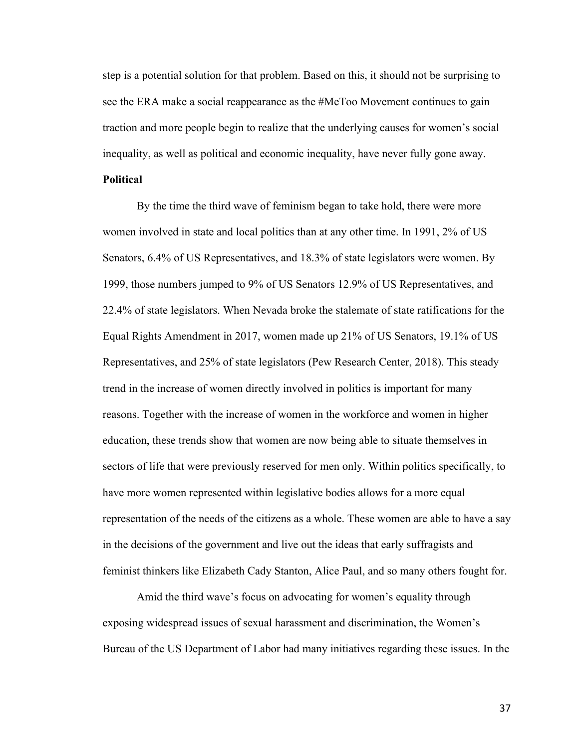step is a potential solution for that problem. Based on this, it should not be surprising to see the ERA make a social reappearance as the #MeToo Movement continues to gain traction and more people begin to realize that the underlying causes for women's social inequality, as well as political and economic inequality, have never fully gone away.

## **Political**

By the time the third wave of feminism began to take hold, there were more women involved in state and local politics than at any other time. In 1991, 2% of US Senators, 6.4% of US Representatives, and 18.3% of state legislators were women. By 1999, those numbers jumped to 9% of US Senators 12.9% of US Representatives, and 22.4% of state legislators. When Nevada broke the stalemate of state ratifications for the Equal Rights Amendment in 2017, women made up 21% of US Senators, 19.1% of US Representatives, and 25% of state legislators (Pew Research Center, 2018). This steady trend in the increase of women directly involved in politics is important for many reasons. Together with the increase of women in the workforce and women in higher education, these trends show that women are now being able to situate themselves in sectors of life that were previously reserved for men only. Within politics specifically, to have more women represented within legislative bodies allows for a more equal representation of the needs of the citizens as a whole. These women are able to have a say in the decisions of the government and live out the ideas that early suffragists and feminist thinkers like Elizabeth Cady Stanton, Alice Paul, and so many others fought for.

Amid the third wave's focus on advocating for women's equality through exposing widespread issues of sexual harassment and discrimination, the Women's Bureau of the US Department of Labor had many initiatives regarding these issues. In the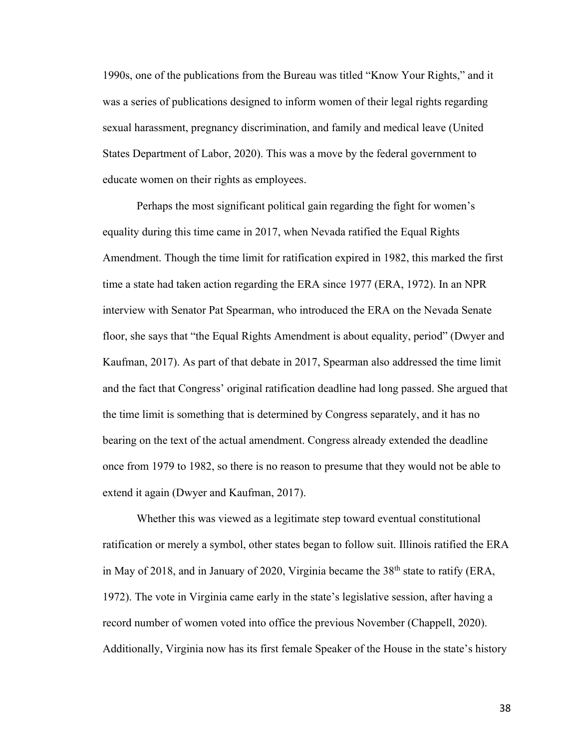1990s, one of the publications from the Bureau was titled "Know Your Rights," and it was a series of publications designed to inform women of their legal rights regarding sexual harassment, pregnancy discrimination, and family and medical leave (United States Department of Labor, 2020). This was a move by the federal government to educate women on their rights as employees.

Perhaps the most significant political gain regarding the fight for women's equality during this time came in 2017, when Nevada ratified the Equal Rights Amendment. Though the time limit for ratification expired in 1982, this marked the first time a state had taken action regarding the ERA since 1977 (ERA, 1972). In an NPR interview with Senator Pat Spearman, who introduced the ERA on the Nevada Senate floor, she says that "the Equal Rights Amendment is about equality, period" (Dwyer and Kaufman, 2017). As part of that debate in 2017, Spearman also addressed the time limit and the fact that Congress' original ratification deadline had long passed. She argued that the time limit is something that is determined by Congress separately, and it has no bearing on the text of the actual amendment. Congress already extended the deadline once from 1979 to 1982, so there is no reason to presume that they would not be able to extend it again (Dwyer and Kaufman, 2017).

Whether this was viewed as a legitimate step toward eventual constitutional ratification or merely a symbol, other states began to follow suit. Illinois ratified the ERA in May of 2018, and in January of 2020, Virginia became the  $38<sup>th</sup>$  state to ratify (ERA, 1972). The vote in Virginia came early in the state's legislative session, after having a record number of women voted into office the previous November (Chappell, 2020). Additionally, Virginia now has its first female Speaker of the House in the state's history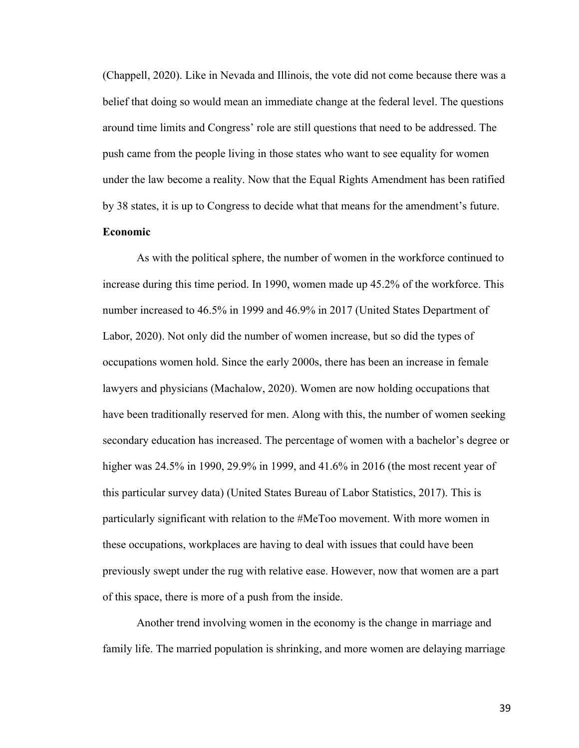(Chappell, 2020). Like in Nevada and Illinois, the vote did not come because there was a belief that doing so would mean an immediate change at the federal level. The questions around time limits and Congress' role are still questions that need to be addressed. The push came from the people living in those states who want to see equality for women under the law become a reality. Now that the Equal Rights Amendment has been ratified by 38 states, it is up to Congress to decide what that means for the amendment's future.

# **Economic**

As with the political sphere, the number of women in the workforce continued to increase during this time period. In 1990, women made up 45.2% of the workforce. This number increased to 46.5% in 1999 and 46.9% in 2017 (United States Department of Labor, 2020). Not only did the number of women increase, but so did the types of occupations women hold. Since the early 2000s, there has been an increase in female lawyers and physicians (Machalow, 2020). Women are now holding occupations that have been traditionally reserved for men. Along with this, the number of women seeking secondary education has increased. The percentage of women with a bachelor's degree or higher was 24.5% in 1990, 29.9% in 1999, and 41.6% in 2016 (the most recent year of this particular survey data) (United States Bureau of Labor Statistics, 2017). This is particularly significant with relation to the #MeToo movement. With more women in these occupations, workplaces are having to deal with issues that could have been previously swept under the rug with relative ease. However, now that women are a part of this space, there is more of a push from the inside.

Another trend involving women in the economy is the change in marriage and family life. The married population is shrinking, and more women are delaying marriage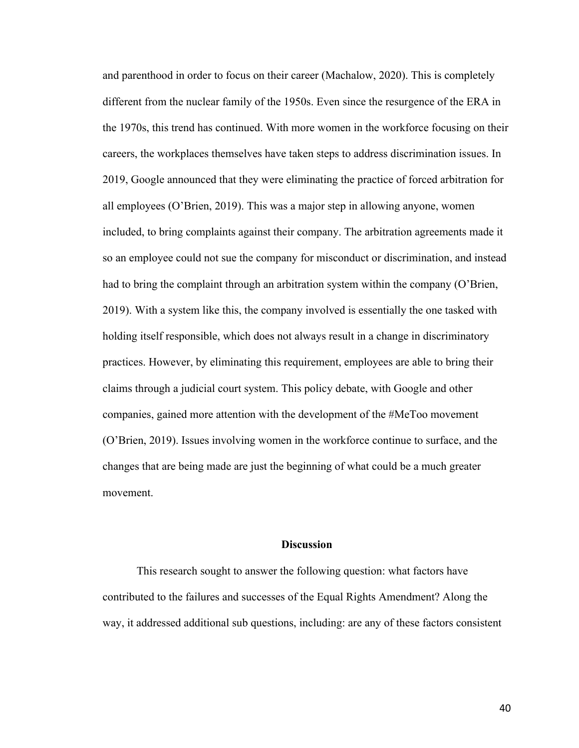and parenthood in order to focus on their career (Machalow, 2020). This is completely different from the nuclear family of the 1950s. Even since the resurgence of the ERA in the 1970s, this trend has continued. With more women in the workforce focusing on their careers, the workplaces themselves have taken steps to address discrimination issues. In 2019, Google announced that they were eliminating the practice of forced arbitration for all employees (O'Brien, 2019). This was a major step in allowing anyone, women included, to bring complaints against their company. The arbitration agreements made it so an employee could not sue the company for misconduct or discrimination, and instead had to bring the complaint through an arbitration system within the company (O'Brien, 2019). With a system like this, the company involved is essentially the one tasked with holding itself responsible, which does not always result in a change in discriminatory practices. However, by eliminating this requirement, employees are able to bring their claims through a judicial court system. This policy debate, with Google and other companies, gained more attention with the development of the #MeToo movement (O'Brien, 2019). Issues involving women in the workforce continue to surface, and the changes that are being made are just the beginning of what could be a much greater movement.

# **Discussion**

This research sought to answer the following question: what factors have contributed to the failures and successes of the Equal Rights Amendment? Along the way, it addressed additional sub questions, including: are any of these factors consistent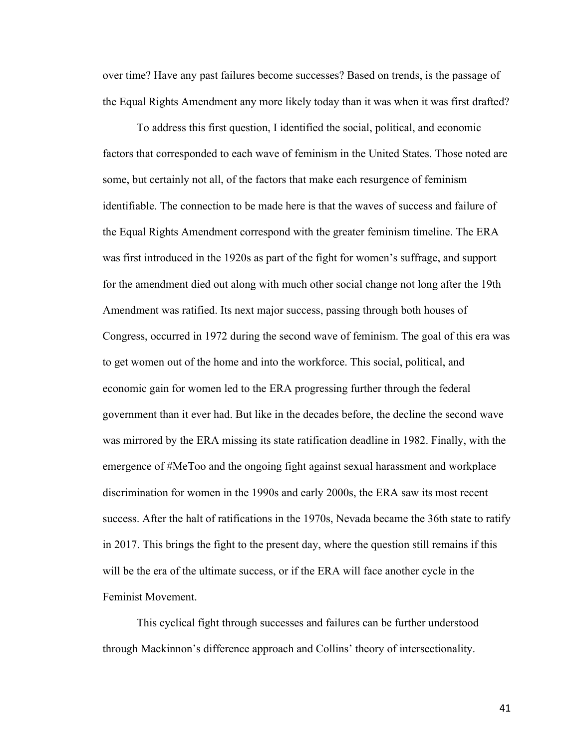over time? Have any past failures become successes? Based on trends, is the passage of the Equal Rights Amendment any more likely today than it was when it was first drafted?

To address this first question, I identified the social, political, and economic factors that corresponded to each wave of feminism in the United States. Those noted are some, but certainly not all, of the factors that make each resurgence of feminism identifiable. The connection to be made here is that the waves of success and failure of the Equal Rights Amendment correspond with the greater feminism timeline. The ERA was first introduced in the 1920s as part of the fight for women's suffrage, and support for the amendment died out along with much other social change not long after the 19th Amendment was ratified. Its next major success, passing through both houses of Congress, occurred in 1972 during the second wave of feminism. The goal of this era was to get women out of the home and into the workforce. This social, political, and economic gain for women led to the ERA progressing further through the federal government than it ever had. But like in the decades before, the decline the second wave was mirrored by the ERA missing its state ratification deadline in 1982. Finally, with the emergence of #MeToo and the ongoing fight against sexual harassment and workplace discrimination for women in the 1990s and early 2000s, the ERA saw its most recent success. After the halt of ratifications in the 1970s, Nevada became the 36th state to ratify in 2017. This brings the fight to the present day, where the question still remains if this will be the era of the ultimate success, or if the ERA will face another cycle in the Feminist Movement.

This cyclical fight through successes and failures can be further understood through Mackinnon's difference approach and Collins' theory of intersectionality.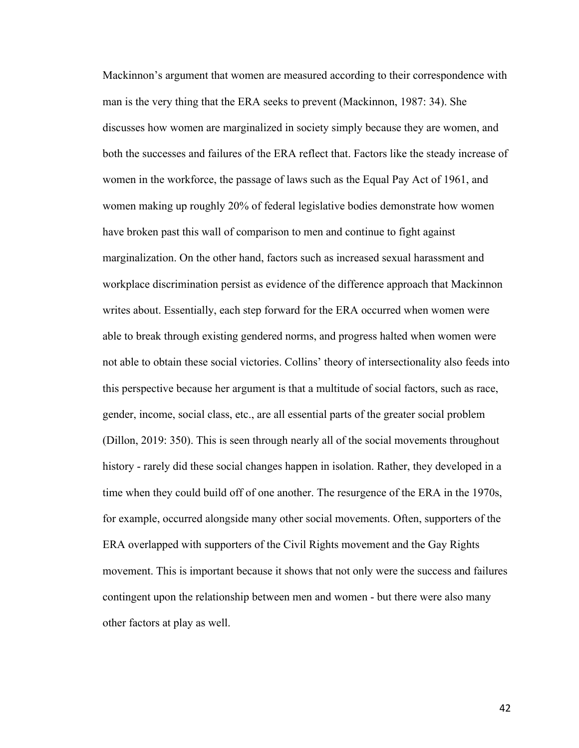Mackinnon's argument that women are measured according to their correspondence with man is the very thing that the ERA seeks to prevent (Mackinnon, 1987: 34). She discusses how women are marginalized in society simply because they are women, and both the successes and failures of the ERA reflect that. Factors like the steady increase of women in the workforce, the passage of laws such as the Equal Pay Act of 1961, and women making up roughly 20% of federal legislative bodies demonstrate how women have broken past this wall of comparison to men and continue to fight against marginalization. On the other hand, factors such as increased sexual harassment and workplace discrimination persist as evidence of the difference approach that Mackinnon writes about. Essentially, each step forward for the ERA occurred when women were able to break through existing gendered norms, and progress halted when women were not able to obtain these social victories. Collins' theory of intersectionality also feeds into this perspective because her argument is that a multitude of social factors, such as race, gender, income, social class, etc., are all essential parts of the greater social problem (Dillon, 2019: 350). This is seen through nearly all of the social movements throughout history - rarely did these social changes happen in isolation. Rather, they developed in a time when they could build off of one another. The resurgence of the ERA in the 1970s, for example, occurred alongside many other social movements. Often, supporters of the ERA overlapped with supporters of the Civil Rights movement and the Gay Rights movement. This is important because it shows that not only were the success and failures contingent upon the relationship between men and women - but there were also many other factors at play as well.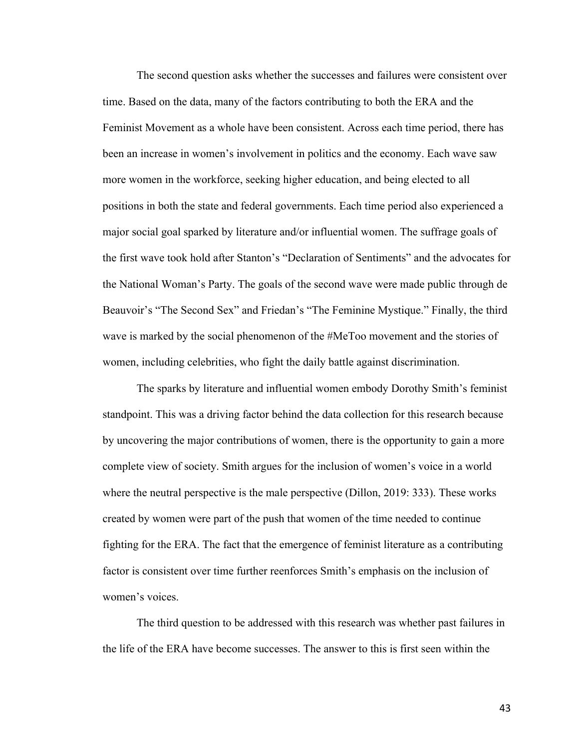The second question asks whether the successes and failures were consistent over time. Based on the data, many of the factors contributing to both the ERA and the Feminist Movement as a whole have been consistent. Across each time period, there has been an increase in women's involvement in politics and the economy. Each wave saw more women in the workforce, seeking higher education, and being elected to all positions in both the state and federal governments. Each time period also experienced a major social goal sparked by literature and/or influential women. The suffrage goals of the first wave took hold after Stanton's "Declaration of Sentiments" and the advocates for the National Woman's Party. The goals of the second wave were made public through de Beauvoir's "The Second Sex" and Friedan's "The Feminine Mystique." Finally, the third wave is marked by the social phenomenon of the #MeToo movement and the stories of women, including celebrities, who fight the daily battle against discrimination.

The sparks by literature and influential women embody Dorothy Smith's feminist standpoint. This was a driving factor behind the data collection for this research because by uncovering the major contributions of women, there is the opportunity to gain a more complete view of society. Smith argues for the inclusion of women's voice in a world where the neutral perspective is the male perspective (Dillon, 2019: 333). These works created by women were part of the push that women of the time needed to continue fighting for the ERA. The fact that the emergence of feminist literature as a contributing factor is consistent over time further reenforces Smith's emphasis on the inclusion of women's voices.

The third question to be addressed with this research was whether past failures in the life of the ERA have become successes. The answer to this is first seen within the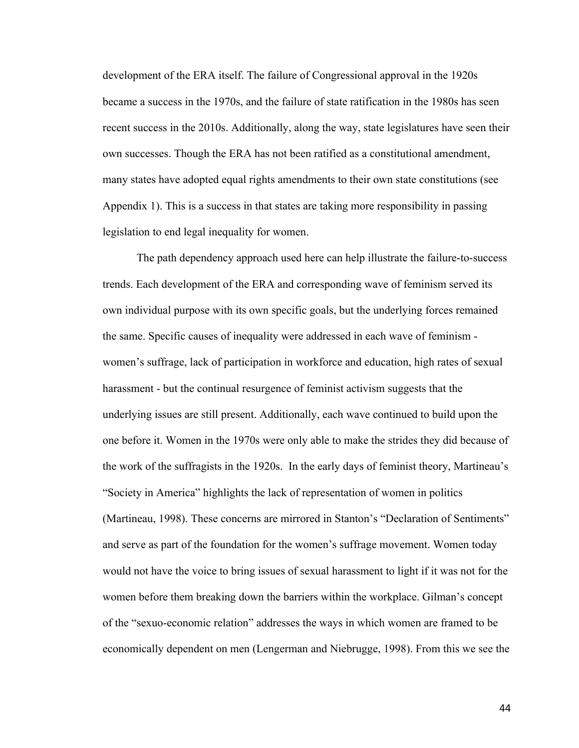development of the ERA itself. The failure of Congressional approval in the 1920s became a success in the 1970s, and the failure of state ratification in the 1980s has seen recent success in the 2010s. Additionally, along the way, state legislatures have seen their own successes. Though the ERA has not been ratified as a constitutional amendment, many states have adopted equal rights amendments to their own state constitutions (see Appendix 1). This is a success in that states are taking more responsibility in passing legislation to end legal inequality for women.

The path dependency approach used here can help illustrate the failure-to-success trends. Each development of the ERA and corresponding wave of feminism served its own individual purpose with its own specific goals, but the underlying forces remained the same. Specific causes of inequality were addressed in each wave of feminism women's suffrage, lack of participation in workforce and education, high rates of sexual harassment - but the continual resurgence of feminist activism suggests that the underlying issues are still present. Additionally, each wave continued to build upon the one before it. Women in the 1970s were only able to make the strides they did because of the work of the suffragists in the 1920s. In the early days of feminist theory, Martineau's "Society in America" highlights the lack of representation of women in politics (Martineau, 1998). These concerns are mirrored in Stanton's "Declaration of Sentiments" and serve as part of the foundation for the women's suffrage movement. Women today would not have the voice to bring issues of sexual harassment to light if it was not for the women before them breaking down the barriers within the workplace. Gilman's concept of the "sexuo-economic relation" addresses the ways in which women are framed to be economically dependent on men (Lengerman and Niebrugge, 1998). From this we see the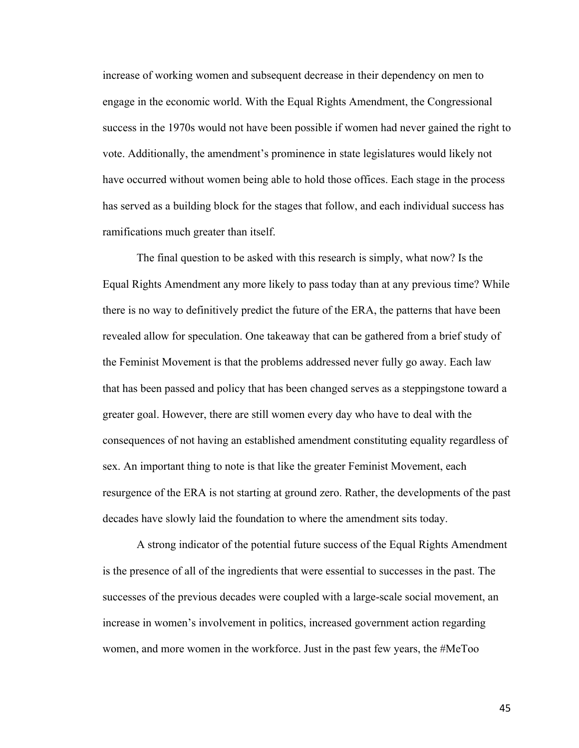increase of working women and subsequent decrease in their dependency on men to engage in the economic world. With the Equal Rights Amendment, the Congressional success in the 1970s would not have been possible if women had never gained the right to vote. Additionally, the amendment's prominence in state legislatures would likely not have occurred without women being able to hold those offices. Each stage in the process has served as a building block for the stages that follow, and each individual success has ramifications much greater than itself.

The final question to be asked with this research is simply, what now? Is the Equal Rights Amendment any more likely to pass today than at any previous time? While there is no way to definitively predict the future of the ERA, the patterns that have been revealed allow for speculation. One takeaway that can be gathered from a brief study of the Feminist Movement is that the problems addressed never fully go away. Each law that has been passed and policy that has been changed serves as a steppingstone toward a greater goal. However, there are still women every day who have to deal with the consequences of not having an established amendment constituting equality regardless of sex. An important thing to note is that like the greater Feminist Movement, each resurgence of the ERA is not starting at ground zero. Rather, the developments of the past decades have slowly laid the foundation to where the amendment sits today.

A strong indicator of the potential future success of the Equal Rights Amendment is the presence of all of the ingredients that were essential to successes in the past. The successes of the previous decades were coupled with a large-scale social movement, an increase in women's involvement in politics, increased government action regarding women, and more women in the workforce. Just in the past few years, the #MeToo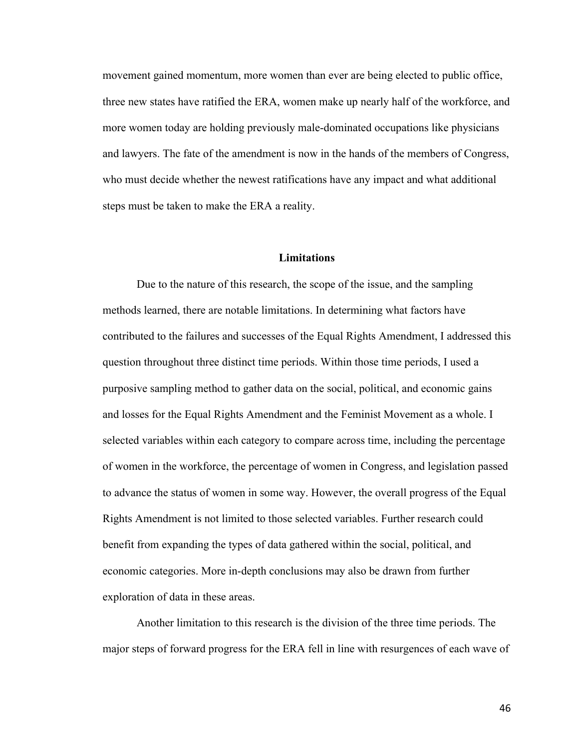movement gained momentum, more women than ever are being elected to public office, three new states have ratified the ERA, women make up nearly half of the workforce, and more women today are holding previously male-dominated occupations like physicians and lawyers. The fate of the amendment is now in the hands of the members of Congress, who must decide whether the newest ratifications have any impact and what additional steps must be taken to make the ERA a reality.

#### **Limitations**

Due to the nature of this research, the scope of the issue, and the sampling methods learned, there are notable limitations. In determining what factors have contributed to the failures and successes of the Equal Rights Amendment, I addressed this question throughout three distinct time periods. Within those time periods, I used a purposive sampling method to gather data on the social, political, and economic gains and losses for the Equal Rights Amendment and the Feminist Movement as a whole. I selected variables within each category to compare across time, including the percentage of women in the workforce, the percentage of women in Congress, and legislation passed to advance the status of women in some way. However, the overall progress of the Equal Rights Amendment is not limited to those selected variables. Further research could benefit from expanding the types of data gathered within the social, political, and economic categories. More in-depth conclusions may also be drawn from further exploration of data in these areas.

Another limitation to this research is the division of the three time periods. The major steps of forward progress for the ERA fell in line with resurgences of each wave of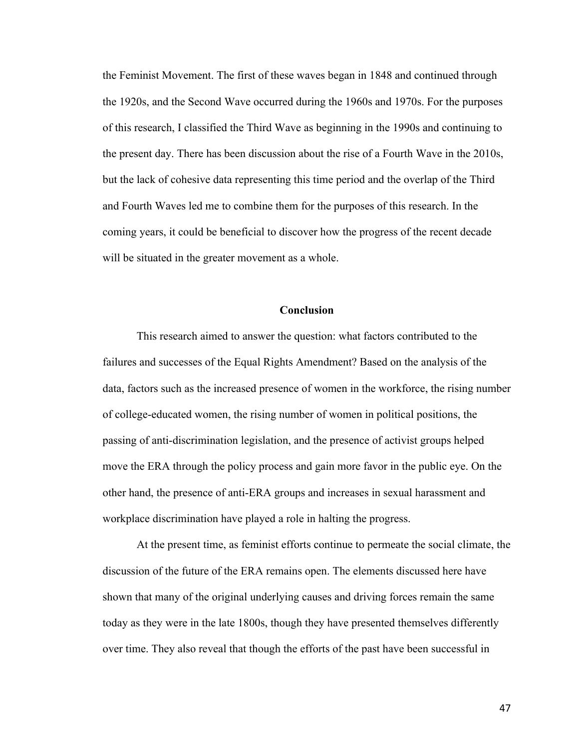the Feminist Movement. The first of these waves began in 1848 and continued through the 1920s, and the Second Wave occurred during the 1960s and 1970s. For the purposes of this research, I classified the Third Wave as beginning in the 1990s and continuing to the present day. There has been discussion about the rise of a Fourth Wave in the 2010s, but the lack of cohesive data representing this time period and the overlap of the Third and Fourth Waves led me to combine them for the purposes of this research. In the coming years, it could be beneficial to discover how the progress of the recent decade will be situated in the greater movement as a whole.

# **Conclusion**

This research aimed to answer the question: what factors contributed to the failures and successes of the Equal Rights Amendment? Based on the analysis of the data, factors such as the increased presence of women in the workforce, the rising number of college-educated women, the rising number of women in political positions, the passing of anti-discrimination legislation, and the presence of activist groups helped move the ERA through the policy process and gain more favor in the public eye. On the other hand, the presence of anti-ERA groups and increases in sexual harassment and workplace discrimination have played a role in halting the progress.

At the present time, as feminist efforts continue to permeate the social climate, the discussion of the future of the ERA remains open. The elements discussed here have shown that many of the original underlying causes and driving forces remain the same today as they were in the late 1800s, though they have presented themselves differently over time. They also reveal that though the efforts of the past have been successful in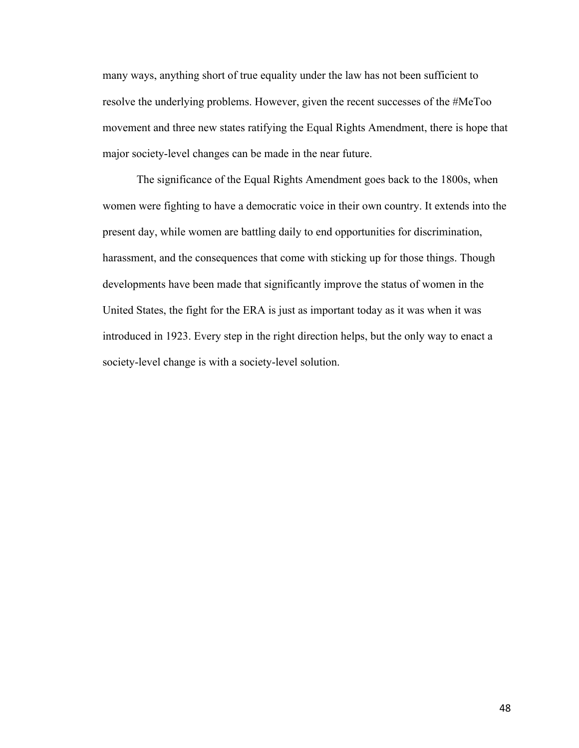many ways, anything short of true equality under the law has not been sufficient to resolve the underlying problems. However, given the recent successes of the #MeToo movement and three new states ratifying the Equal Rights Amendment, there is hope that major society-level changes can be made in the near future.

The significance of the Equal Rights Amendment goes back to the 1800s, when women were fighting to have a democratic voice in their own country. It extends into the present day, while women are battling daily to end opportunities for discrimination, harassment, and the consequences that come with sticking up for those things. Though developments have been made that significantly improve the status of women in the United States, the fight for the ERA is just as important today as it was when it was introduced in 1923. Every step in the right direction helps, but the only way to enact a society-level change is with a society-level solution.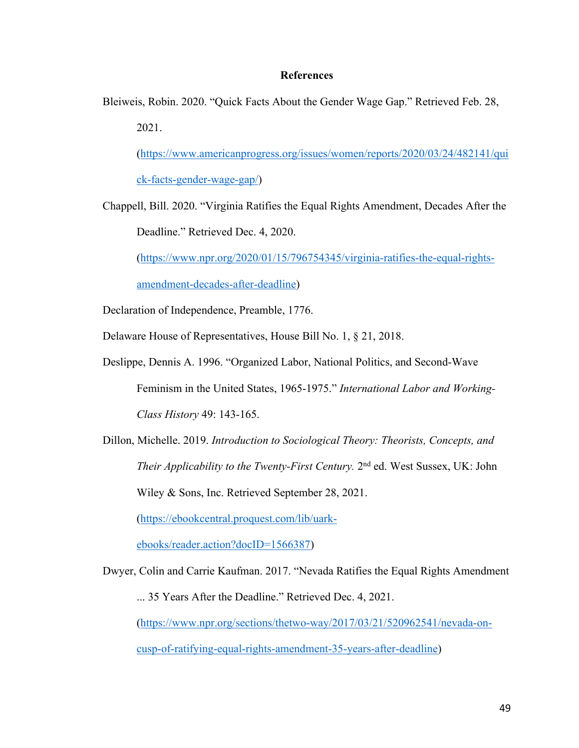# **References**

Bleiweis, Robin. 2020. "Quick Facts About the Gender Wage Gap." Retrieved Feb. 28, 2021.

(https://www.americanprogress.org/issues/women/reports/2020/03/24/482141/qui ck-facts-gender-wage-gap/)

Chappell, Bill. 2020. "Virginia Ratifies the Equal Rights Amendment, Decades After the Deadline." Retrieved Dec. 4, 2020.

(https://www.npr.org/2020/01/15/796754345/virginia-ratifies-the-equal-rights-

amendment-decades-after-deadline)

Declaration of Independence, Preamble, 1776.

- Delaware House of Representatives, House Bill No. 1, § 21, 2018.
- Deslippe, Dennis A. 1996. "Organized Labor, National Politics, and Second-Wave Feminism in the United States, 1965-1975." *International Labor and Working-Class History* 49: 143-165.
- Dillon, Michelle. 2019. *Introduction to Sociological Theory: Theorists, Concepts, and Their Applicability to the Twenty-First Century.* 2<sup>nd</sup> ed. West Sussex, UK: John Wiley & Sons, Inc. Retrieved September 28, 2021.

(https://ebookcentral.proquest.com/lib/uark-

ebooks/reader.action?docID=1566387)

Dwyer, Colin and Carrie Kaufman. 2017. "Nevada Ratifies the Equal Rights Amendment ... 35 Years After the Deadline." Retrieved Dec. 4, 2021. (https://www.npr.org/sections/thetwo-way/2017/03/21/520962541/nevada-oncusp-of-ratifying-equal-rights-amendment-35-years-after-deadline)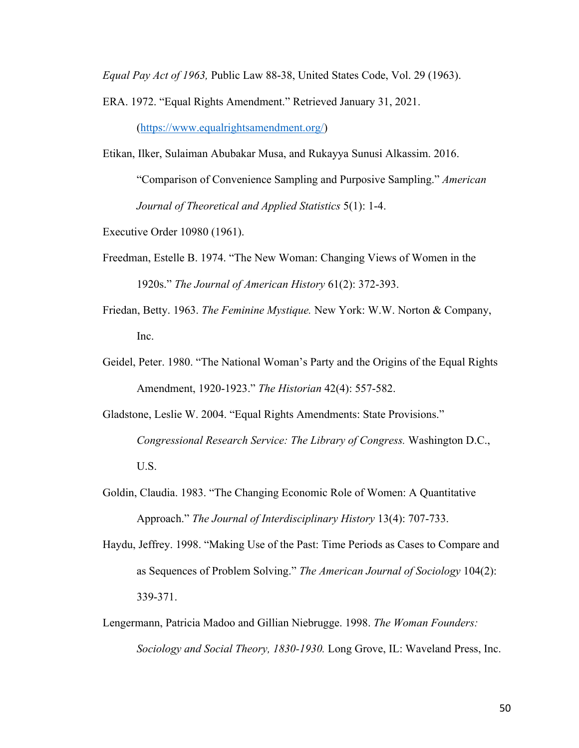*Equal Pay Act of 1963,* Public Law 88-38, United States Code, Vol. 29 (1963).

ERA. 1972. "Equal Rights Amendment." Retrieved January 31, 2021.

(https://www.equalrightsamendment.org/)

Etikan, Ilker, Sulaiman Abubakar Musa, and Rukayya Sunusi Alkassim. 2016.

"Comparison of Convenience Sampling and Purposive Sampling." *American Journal of Theoretical and Applied Statistics* 5(1): 1-4.

Executive Order 10980 (1961).

- Freedman, Estelle B. 1974. "The New Woman: Changing Views of Women in the 1920s." *The Journal of American History* 61(2): 372-393.
- Friedan, Betty. 1963. *The Feminine Mystique.* New York: W.W. Norton & Company, Inc.
- Geidel, Peter. 1980. "The National Woman's Party and the Origins of the Equal Rights Amendment, 1920-1923." *The Historian* 42(4): 557-582.
- Gladstone, Leslie W. 2004. "Equal Rights Amendments: State Provisions." *Congressional Research Service: The Library of Congress.* Washington D.C., U.S.
- Goldin, Claudia. 1983. "The Changing Economic Role of Women: A Quantitative Approach." *The Journal of Interdisciplinary History* 13(4): 707-733.
- Haydu, Jeffrey. 1998. "Making Use of the Past: Time Periods as Cases to Compare and as Sequences of Problem Solving." *The American Journal of Sociology* 104(2): 339-371.
- Lengermann, Patricia Madoo and Gillian Niebrugge. 1998. *The Woman Founders: Sociology and Social Theory, 1830-1930.* Long Grove, IL: Waveland Press, Inc.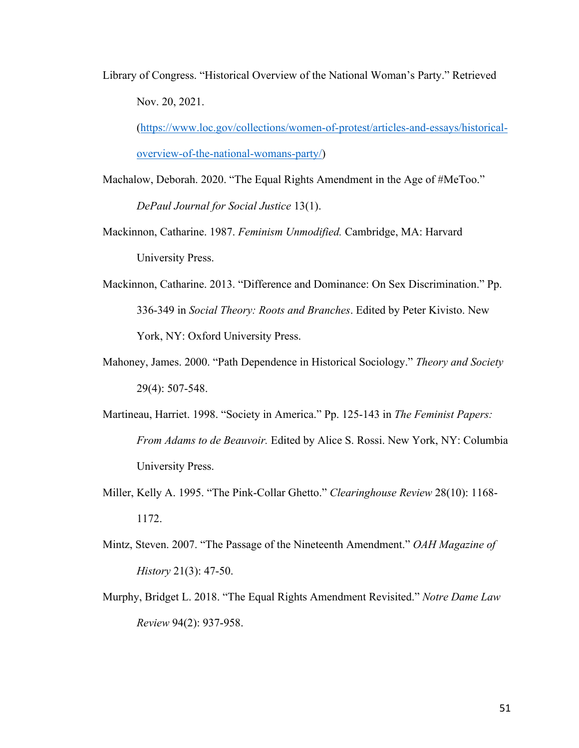Library of Congress. "Historical Overview of the National Woman's Party." Retrieved Nov. 20, 2021.

(https://www.loc.gov/collections/women-of-protest/articles-and-essays/historicaloverview-of-the-national-womans-party/)

- Machalow, Deborah. 2020. "The Equal Rights Amendment in the Age of #MeToo." *DePaul Journal for Social Justice* 13(1).
- Mackinnon, Catharine. 1987. *Feminism Unmodified.* Cambridge, MA: Harvard University Press.
- Mackinnon, Catharine. 2013. "Difference and Dominance: On Sex Discrimination." Pp. 336-349 in *Social Theory: Roots and Branches*. Edited by Peter Kivisto. New York, NY: Oxford University Press.
- Mahoney, James. 2000. "Path Dependence in Historical Sociology." *Theory and Society* 29(4): 507-548.
- Martineau, Harriet. 1998. "Society in America." Pp. 125-143 in *The Feminist Papers: From Adams to de Beauvoir.* Edited by Alice S. Rossi. New York, NY: Columbia University Press.
- Miller, Kelly A. 1995. "The Pink-Collar Ghetto." *Clearinghouse Review* 28(10): 1168- 1172.
- Mintz, Steven. 2007. "The Passage of the Nineteenth Amendment." *OAH Magazine of History* 21(3): 47-50.
- Murphy, Bridget L. 2018. "The Equal Rights Amendment Revisited." *Notre Dame Law Review* 94(2): 937-958.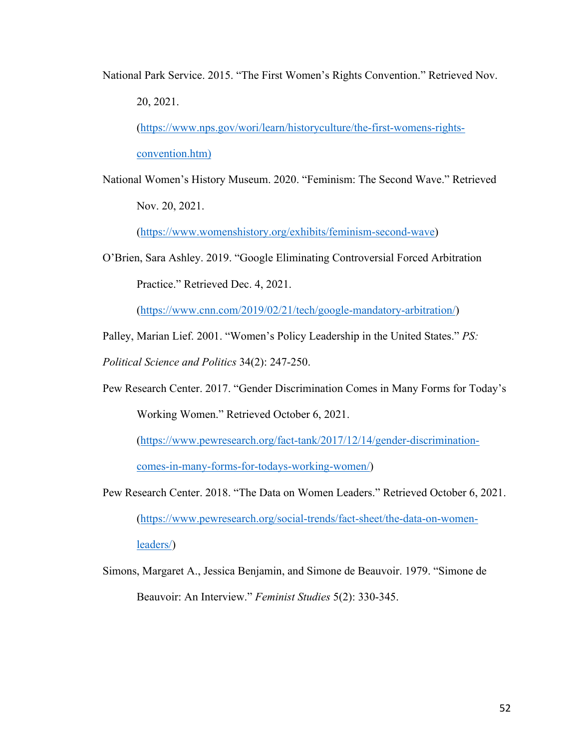National Park Service. 2015. "The First Women's Rights Convention." Retrieved Nov. 20, 2021.

(https://www.nps.gov/wori/learn/historyculture/the-first-womens-rightsconvention.htm)

National Women's History Museum. 2020. "Feminism: The Second Wave." Retrieved Nov. 20, 2021.

(https://www.womenshistory.org/exhibits/feminism-second-wave)

O'Brien, Sara Ashley. 2019. "Google Eliminating Controversial Forced Arbitration Practice." Retrieved Dec. 4, 2021.

(https://www.cnn.com/2019/02/21/tech/google-mandatory-arbitration/)

Palley, Marian Lief. 2001. "Women's Policy Leadership in the United States." *PS:* 

*Political Science and Politics* 34(2): 247-250.

Pew Research Center. 2017. "Gender Discrimination Comes in Many Forms for Today's Working Women." Retrieved October 6, 2021.

(https://www.pewresearch.org/fact-tank/2017/12/14/gender-discriminationcomes-in-many-forms-for-todays-working-women/)

- Pew Research Center. 2018. "The Data on Women Leaders." Retrieved October 6, 2021. (https://www.pewresearch.org/social-trends/fact-sheet/the-data-on-womenleaders/)
- Simons, Margaret A., Jessica Benjamin, and Simone de Beauvoir. 1979. "Simone de Beauvoir: An Interview." *Feminist Studies* 5(2): 330-345.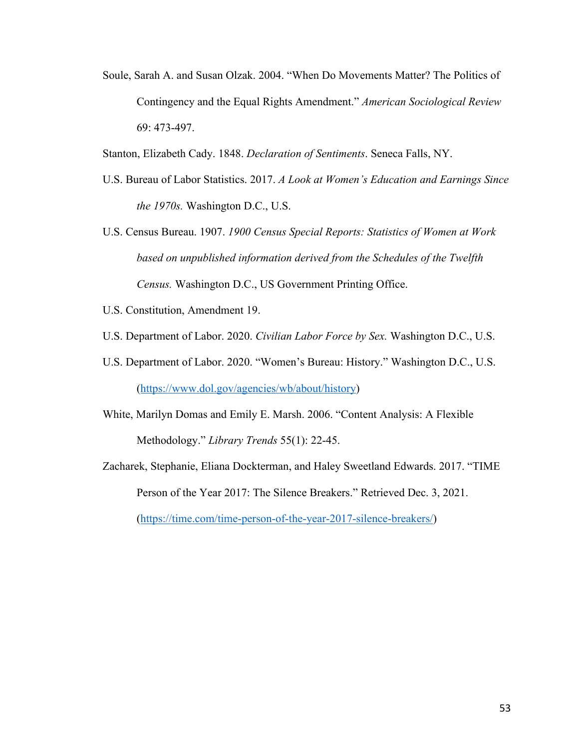Soule, Sarah A. and Susan Olzak. 2004. "When Do Movements Matter? The Politics of Contingency and the Equal Rights Amendment." *American Sociological Review* 69: 473-497.

Stanton, Elizabeth Cady. 1848. *Declaration of Sentiments*. Seneca Falls, NY.

- U.S. Bureau of Labor Statistics. 2017. *A Look at Women's Education and Earnings Since the 1970s.* Washington D.C., U.S.
- U.S. Census Bureau. 1907. *1900 Census Special Reports: Statistics of Women at Work based on unpublished information derived from the Schedules of the Twelfth Census.* Washington D.C., US Government Printing Office.
- U.S. Constitution, Amendment 19.
- U.S. Department of Labor. 2020. *Civilian Labor Force by Sex.* Washington D.C., U.S.
- U.S. Department of Labor. 2020. "Women's Bureau: History." Washington D.C., U.S. (https://www.dol.gov/agencies/wb/about/history)
- White, Marilyn Domas and Emily E. Marsh. 2006. "Content Analysis: A Flexible Methodology." *Library Trends* 55(1): 22-45.
- Zacharek, Stephanie, Eliana Dockterman, and Haley Sweetland Edwards. 2017. "TIME Person of the Year 2017: The Silence Breakers." Retrieved Dec. 3, 2021. (https://time.com/time-person-of-the-year-2017-silence-breakers/)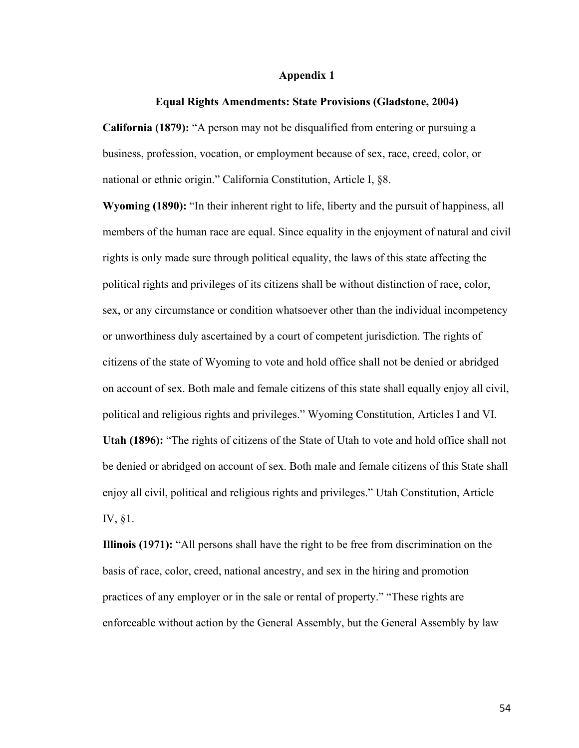## **Appendix 1**

#### **Equal Rights Amendments: State Provisions (Gladstone, 2004)**

**California (1879):** "A person may not be disqualified from entering or pursuing a business, profession, vocation, or employment because of sex, race, creed, color, or national or ethnic origin." California Constitution, Article I, §8.

**Wyoming (1890):** "In their inherent right to life, liberty and the pursuit of happiness, all members of the human race are equal. Since equality in the enjoyment of natural and civil rights is only made sure through political equality, the laws of this state affecting the political rights and privileges of its citizens shall be without distinction of race, color, sex, or any circumstance or condition whatsoever other than the individual incompetency or unworthiness duly ascertained by a court of competent jurisdiction. The rights of citizens of the state of Wyoming to vote and hold office shall not be denied or abridged on account of sex. Both male and female citizens of this state shall equally enjoy all civil, political and religious rights and privileges." Wyoming Constitution, Articles I and VI. **Utah (1896):** "The rights of citizens of the State of Utah to vote and hold office shall not be denied or abridged on account of sex. Both male and female citizens of this State shall enjoy all civil, political and religious rights and privileges." Utah Constitution, Article IV, §1.

**Illinois (1971):** "All persons shall have the right to be free from discrimination on the basis of race, color, creed, national ancestry, and sex in the hiring and promotion practices of any employer or in the sale or rental of property." "These rights are enforceable without action by the General Assembly, but the General Assembly by law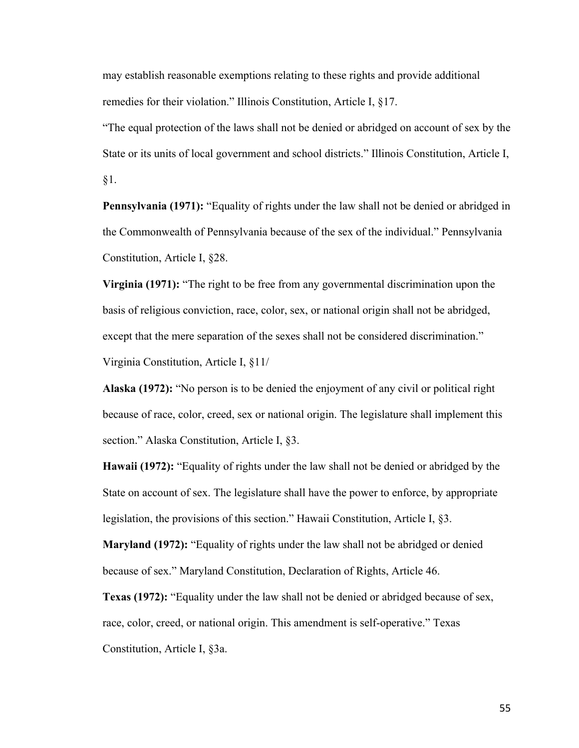may establish reasonable exemptions relating to these rights and provide additional remedies for their violation." Illinois Constitution, Article I, §17.

"The equal protection of the laws shall not be denied or abridged on account of sex by the State or its units of local government and school districts." Illinois Constitution, Article I, §1.

**Pennsylvania (1971):** "Equality of rights under the law shall not be denied or abridged in the Commonwealth of Pennsylvania because of the sex of the individual." Pennsylvania Constitution, Article I, §28.

**Virginia (1971):** "The right to be free from any governmental discrimination upon the basis of religious conviction, race, color, sex, or national origin shall not be abridged, except that the mere separation of the sexes shall not be considered discrimination." Virginia Constitution, Article I, §11/

**Alaska (1972):** "No person is to be denied the enjoyment of any civil or political right because of race, color, creed, sex or national origin. The legislature shall implement this section." Alaska Constitution, Article I, §3.

**Hawaii (1972):** "Equality of rights under the law shall not be denied or abridged by the State on account of sex. The legislature shall have the power to enforce, by appropriate legislation, the provisions of this section." Hawaii Constitution, Article I, §3.

**Maryland (1972):** "Equality of rights under the law shall not be abridged or denied because of sex." Maryland Constitution, Declaration of Rights, Article 46.

**Texas (1972):** "Equality under the law shall not be denied or abridged because of sex, race, color, creed, or national origin. This amendment is self-operative." Texas Constitution, Article I, §3a.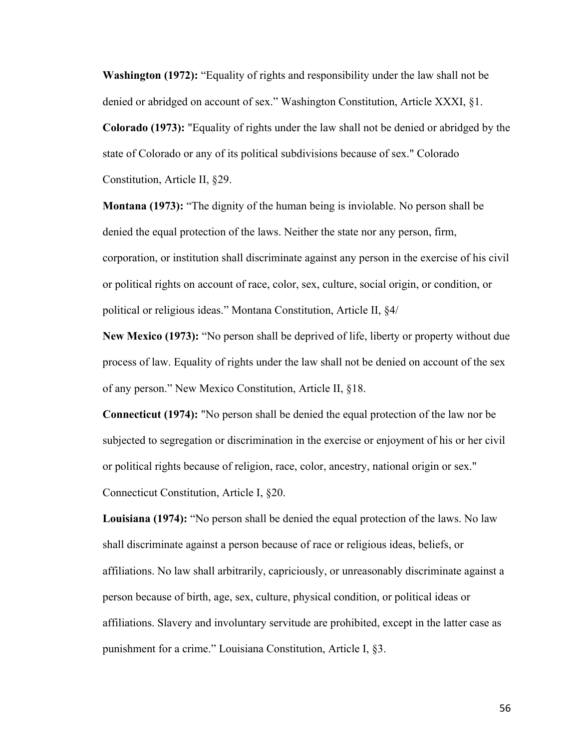**Washington (1972):** "Equality of rights and responsibility under the law shall not be denied or abridged on account of sex." Washington Constitution, Article XXXI, §1.

**Colorado (1973):** "Equality of rights under the law shall not be denied or abridged by the state of Colorado or any of its political subdivisions because of sex." Colorado Constitution, Article II, §29.

**Montana (1973):** "The dignity of the human being is inviolable. No person shall be denied the equal protection of the laws. Neither the state nor any person, firm, corporation, or institution shall discriminate against any person in the exercise of his civil or political rights on account of race, color, sex, culture, social origin, or condition, or political or religious ideas." Montana Constitution, Article II, §4/

**New Mexico (1973):** "No person shall be deprived of life, liberty or property without due process of law. Equality of rights under the law shall not be denied on account of the sex of any person." New Mexico Constitution, Article II, §18.

**Connecticut (1974):** "No person shall be denied the equal protection of the law nor be subjected to segregation or discrimination in the exercise or enjoyment of his or her civil or political rights because of religion, race, color, ancestry, national origin or sex." Connecticut Constitution, Article I, §20.

**Louisiana (1974):** "No person shall be denied the equal protection of the laws. No law shall discriminate against a person because of race or religious ideas, beliefs, or affiliations. No law shall arbitrarily, capriciously, or unreasonably discriminate against a person because of birth, age, sex, culture, physical condition, or political ideas or affiliations. Slavery and involuntary servitude are prohibited, except in the latter case as punishment for a crime." Louisiana Constitution, Article I, §3.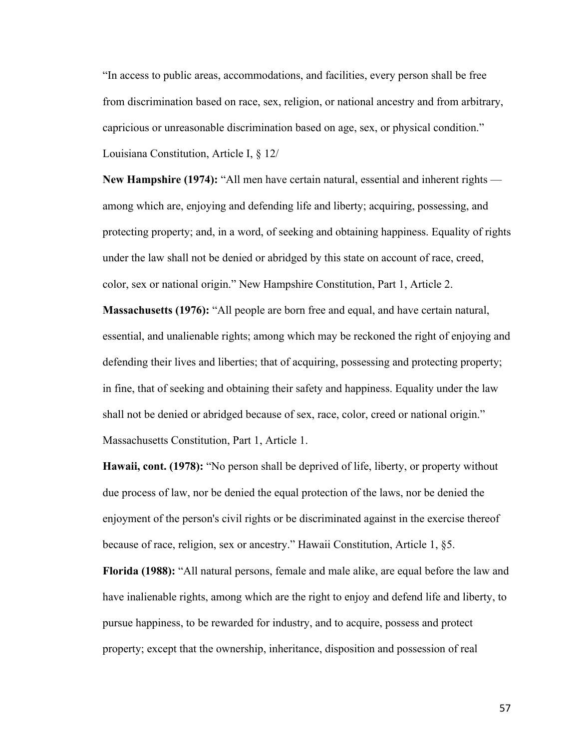"In access to public areas, accommodations, and facilities, every person shall be free from discrimination based on race, sex, religion, or national ancestry and from arbitrary, capricious or unreasonable discrimination based on age, sex, or physical condition." Louisiana Constitution, Article I, § 12/

**New Hampshire (1974):** "All men have certain natural, essential and inherent rights among which are, enjoying and defending life and liberty; acquiring, possessing, and protecting property; and, in a word, of seeking and obtaining happiness. Equality of rights under the law shall not be denied or abridged by this state on account of race, creed, color, sex or national origin." New Hampshire Constitution, Part 1, Article 2.

**Massachusetts (1976):** "All people are born free and equal, and have certain natural, essential, and unalienable rights; among which may be reckoned the right of enjoying and defending their lives and liberties; that of acquiring, possessing and protecting property; in fine, that of seeking and obtaining their safety and happiness. Equality under the law shall not be denied or abridged because of sex, race, color, creed or national origin." Massachusetts Constitution, Part 1, Article 1.

**Hawaii, cont. (1978):** "No person shall be deprived of life, liberty, or property without due process of law, nor be denied the equal protection of the laws, nor be denied the enjoyment of the person's civil rights or be discriminated against in the exercise thereof because of race, religion, sex or ancestry." Hawaii Constitution, Article 1, §5.

**Florida (1988):** "All natural persons, female and male alike, are equal before the law and have inalienable rights, among which are the right to enjoy and defend life and liberty, to pursue happiness, to be rewarded for industry, and to acquire, possess and protect property; except that the ownership, inheritance, disposition and possession of real